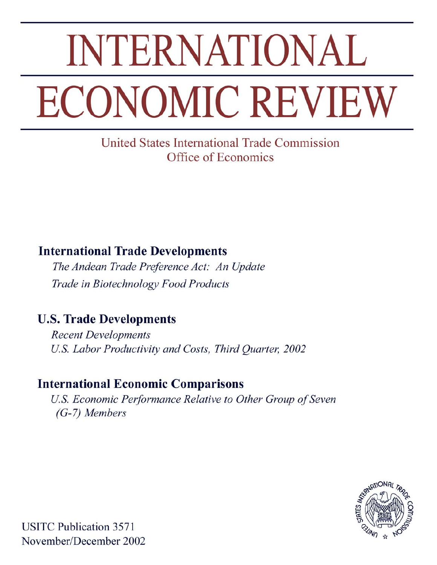# **INTERNATIONAL ECONOMIC REVIEW**

**United States International Trade Commission** Office of Economics

# **International Trade Developments**

The Andean Trade Preference Act: An Update Trade in Biotechnology Food Products

# **U.S. Trade Developments**

**Recent Developments** U.S. Labor Productivity and Costs, Third Quarter, 2002

## **International Economic Comparisons**

U.S. Economic Performance Relative to Other Group of Seven  $(G-7)$  Members



**USITC Publication 3571** November/December 2002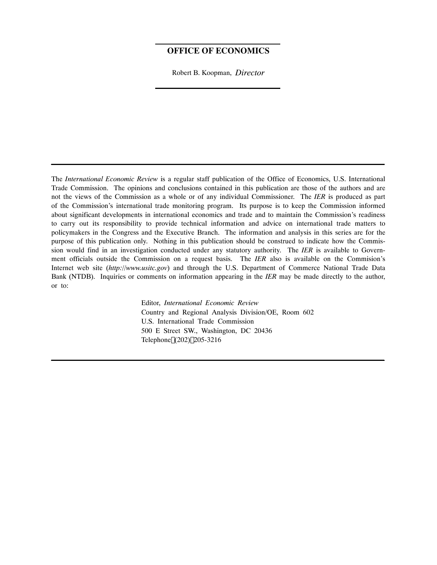#### **OFFICE OF ECONOMICS**

Robert B. Koopman, *Director*

The *International Economic Review* is a regular staff publication of the Office of Economics, U.S. International Trade Commission. The opinions and conclusions contained in this publication are those of the authors and are not the views of the Commission as a whole or of any individual Commissioner. The *IER* is produced as part of the Commission's international trade monitoring program. Its purpose is to keep the Commission informed about significant developments in international economics and trade and to maintain the Commission's readiness to carry out its responsibility to provide technical information and advice on international trade matters to policymakers in the Congress and the Executive Branch. The information and analysis in this series are for the purpose of this publication only. Nothing in this publication should be construed to indicate how the Commission would find in an investigation conducted under any statutory authority. The *IER* is available to Government officials outside the Commission on a request basis. The *IER* also is available on the Commision's Internet web site (*http://www.usitc.gov*) and through the U.S. Department of Commerce National Trade Data Bank (NTDB). Inquiries or comments on information appearing in the *IER* may be made directly to the author, or to:

> Editor, *International Economic Review* Country and Regional Analysis Division/OE, Room 602 U.S. International Trade Commission 500 E Street SW., Washington, DC 20436 Telephone (202) 205-3216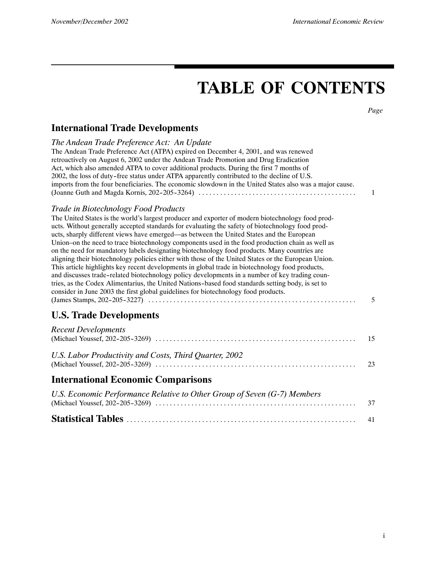# **TABLE OF CONTENTS**

*Page*

## **International Trade Developments**

| The Andean Trade Preference Act: An Update<br>The Andean Trade Preference Act (ATPA) expired on December 4, 2001, and was renewed<br>retroactively on August 6, 2002 under the Andean Trade Promotion and Drug Eradication<br>Act, which also amended ATPA to cover additional products. During the first 7 months of<br>2002, the loss of duty-free status under ATPA apparently contributed to the decline of U.S.<br>imports from the four beneficiaries. The economic slowdown in the United States also was a major cause.                                                                                                                                                                                                                                                                                                                                                                                                                                                                                                                      | 1  |
|------------------------------------------------------------------------------------------------------------------------------------------------------------------------------------------------------------------------------------------------------------------------------------------------------------------------------------------------------------------------------------------------------------------------------------------------------------------------------------------------------------------------------------------------------------------------------------------------------------------------------------------------------------------------------------------------------------------------------------------------------------------------------------------------------------------------------------------------------------------------------------------------------------------------------------------------------------------------------------------------------------------------------------------------------|----|
| Trade in Biotechnology Food Products<br>The United States is the world's largest producer and exporter of modern biotechnology food prod-<br>ucts. Without generally accepted standards for evaluating the safety of biotechnology food prod-<br>ucts, sharply different views have emerged—as between the United States and the European<br>Union-on the need to trace biotechnology components used in the food production chain as well as<br>on the need for mandatory labels designating biotechnology food products. Many countries are<br>aligning their biotechnology policies either with those of the United States or the European Union.<br>This article highlights key recent developments in global trade in biotechnology food products,<br>and discusses trade-related biotechnology policy developments in a number of key trading coun-<br>tries, as the Codex Alimentarius, the United Nations-based food standards setting body, is set to<br>consider in June 2003 the first global guidelines for biotechnology food products. | 5  |
| <b>U.S. Trade Developments</b>                                                                                                                                                                                                                                                                                                                                                                                                                                                                                                                                                                                                                                                                                                                                                                                                                                                                                                                                                                                                                       |    |
| <b>Recent Developments</b>                                                                                                                                                                                                                                                                                                                                                                                                                                                                                                                                                                                                                                                                                                                                                                                                                                                                                                                                                                                                                           | 15 |
| U.S. Labor Productivity and Costs, Third Quarter, 2002                                                                                                                                                                                                                                                                                                                                                                                                                                                                                                                                                                                                                                                                                                                                                                                                                                                                                                                                                                                               | 23 |
| <b>International Economic Comparisons</b>                                                                                                                                                                                                                                                                                                                                                                                                                                                                                                                                                                                                                                                                                                                                                                                                                                                                                                                                                                                                            |    |
| U.S. Economic Performance Relative to Other Group of Seven (G-7) Members                                                                                                                                                                                                                                                                                                                                                                                                                                                                                                                                                                                                                                                                                                                                                                                                                                                                                                                                                                             | 37 |
|                                                                                                                                                                                                                                                                                                                                                                                                                                                                                                                                                                                                                                                                                                                                                                                                                                                                                                                                                                                                                                                      | 41 |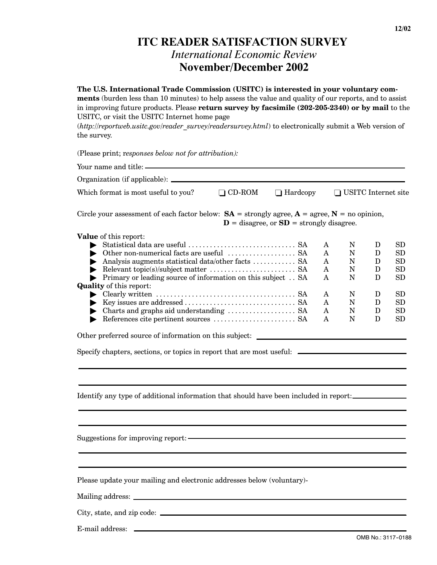## **ITC READER SATISFACTION SURVEY** *International Economic Review* **November/December 2002**

#### **The U.S. International Trade Commission (USITC) is interested in your voluntary com-**

**ments** (burden less than 10 minutes) to help assess the value and quality of our reports, and to assist in improving future products. Please **return survey by facsimile (202-205-2340) or by mail** to the USITC, or visit the USITC Internet home page

(*http://reportweb.usitc.gov/reader\_survey/readersurvey.html*) to electronically submit a Web version of the survey.

(Please print; r*esponses below not for attribution):*

| Which format is most useful to you?                                                                                                                                                                                                                                                                                                                                                                                                                                      | $\Box$ CD-ROM | $\Box$ Hardcopy                              |                                           | □ USITC Internet site                             |                                           |                                                                                                                              |
|--------------------------------------------------------------------------------------------------------------------------------------------------------------------------------------------------------------------------------------------------------------------------------------------------------------------------------------------------------------------------------------------------------------------------------------------------------------------------|---------------|----------------------------------------------|-------------------------------------------|---------------------------------------------------|-------------------------------------------|------------------------------------------------------------------------------------------------------------------------------|
| Circle your assessment of each factor below: $SA =$ strongly agree, $A =$ agree, $N =$ no opinion,                                                                                                                                                                                                                                                                                                                                                                       |               | $D =$ disagree, or $SD =$ strongly disagree. |                                           |                                                   |                                           |                                                                                                                              |
| Value of this report:<br>Analysis augments statistical data/other facts $\dots \dots \dots$ SA<br>• Primary or leading source of information on this subject SA<br><b>Quality</b> of this report:<br>References cite pertinent sources $\dots\dots\dots\dots\dots\dots$ . SA<br>Other preferred source of information on this subject: __________________________<br>Specify chapters, sections, or topics in report that are most useful: _____________________________ |               |                                              | A<br>A<br>A<br>A<br>Α<br>A<br>A<br>A<br>A | N<br>N<br>N<br>${\bf N}$<br>N<br>N<br>N<br>N<br>N | D<br>D<br>D<br>D<br>D<br>D<br>D<br>D<br>D | ${\rm SD}$<br>${\rm SD}$<br>${\rm SD}$<br>SD<br>$_{\rm SD}$<br>${\rm SD}$<br>$\operatorname{SD}$<br>${\rm SD}$<br>${\rm SD}$ |
| Identify any type of additional information that should have been included in report:                                                                                                                                                                                                                                                                                                                                                                                    |               |                                              |                                           |                                                   |                                           |                                                                                                                              |
| Suggestions for improving report: -                                                                                                                                                                                                                                                                                                                                                                                                                                      |               |                                              |                                           |                                                   |                                           |                                                                                                                              |
| Please update your mailing and electronic addresses below (voluntary)-                                                                                                                                                                                                                                                                                                                                                                                                   |               |                                              |                                           |                                                   |                                           |                                                                                                                              |
|                                                                                                                                                                                                                                                                                                                                                                                                                                                                          |               |                                              |                                           |                                                   |                                           |                                                                                                                              |
| City, state, and zip code:                                                                                                                                                                                                                                                                                                                                                                                                                                               |               |                                              |                                           |                                                   |                                           |                                                                                                                              |

E-mail address:

OMB No.: 3117-0188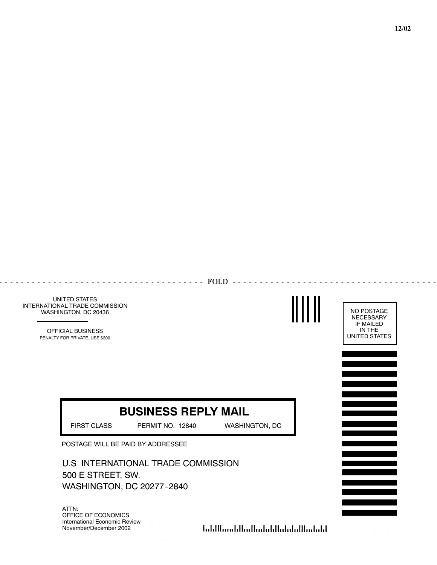

**12/02**

UNITED STATES INTERNATIONAL TRADE COMMISSION WASHINGTON, DC 20436

> OFFICIAL BUSINESS PENALTY FOR PRIVATE, USE \$300

# **BUSINESS REPLY MAIL**

------------ FOLD -----------

FIRST CLASS PERMIT NO. 12840 WASHINGTON, DC

POSTAGE WILL BE PAID BY ADDRESSEE

 $\sim$   $\sim$   $\sim$ 

U.S INTERNATIONAL TRADE COMMISSION 500 E STREET, SW. WASHINGTON, DC 20277-2840

ATTN: OFFICE OF ECONOMICS International Economic Review November/December 2002

الملمانا المامان المامان بالمماليات بمالياتها

NO POSTAGE **NECESSARY** IF MAILED IN THE UNITED STATES

 $\frac{1}{2}$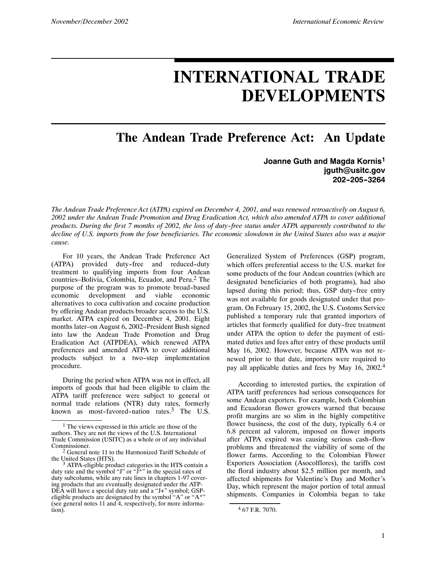# **INTERNATIONAL TRADE DEVELOPMENTS**

**The Andean Trade Preference Act: An Update**

#### **Joanne Guth and Magda Kornis1 jguth@usitc.gov 202--205--3264**

*The Andean Trade Preference Act (ATPA) expired on December 4, 2001, and was renewed retroactively on August 6, 2002 under the Andean Trade Promotion and Drug Eradication Act, which also amended ATPA to cover additional products. During the first 7 months of 2002, the loss of duty--free status under ATPA apparently contributed to the decline of U.S. imports from the four beneficiaries. The economic slowdown in the United States also was a major cause.*

For 10 years, the Andean Trade Preference Act (ATPA) provided duty-free and reduced-duty treatment to qualifying imports from four Andean countries–Bolivia, Colombia, Ecuador, and Peru.2 The purpose of the program was to promote broad--based economic development and viable economic alternatives to coca cultivation and cocaine production by offering Andean products broader access to the U.S. market. ATPA expired on December 4, 2001. Eight months later–on August 6, 2002–President Bush signed into law the Andean Trade Promotion and Drug Eradication Act (ATPDEA), which renewed ATPA preferences and amended ATPA to cover additional products subject to a two-step implementation procedure.

During the period when ATPA was not in effect, all imports of goods that had been eligible to claim the ATPA tariff preference were subject to general or normal trade relations (NTR) duty rates, formerly known as most-favored-nation rates.<sup>3</sup> The U.S.

Generalized System of Preferences (GSP) program, which offers preferential access to the U.S. market for some products of the four Andean countries (which are designated beneficiaries of both programs), had also lapsed during this period; thus, GSP duty-free entry was not available for goods designated under that program. On February 15, 2002, the U.S. Customs Service published a temporary rule that granted importers of articles that formerly qualified for duty-free treatment under ATPA the option to defer the payment of estimated duties and fees after entry of these products until May 16, 2002. However, because ATPA was not renewed prior to that date, importers were required to pay all applicable duties and fees by May 16, 2002.4

According to interested parties, the expiration of ATPA tariff preferences had serious consequences for some Andean exporters. For example, both Colombian and Ecuadoran flower growers warned that because profit margins are so slim in the highly competitive flower business, the cost of the duty, typically 6.4 or 6.8 percent ad valorem, imposed on flower imports after ATPA expired was causing serious cash-flow problems and threatened the viability of some of the flower farms. According to the Colombian Flower Exporters Association (Asocolflores), the tariffs cost the floral industry about \$2.5 million per month, and affected shipments for Valentine's Day and Mother's Day, which represent the major portion of total annual shipments. Companies in Colombia began to take

<sup>1</sup> The views expressed in this article are those of the authors. They are not the views of the U.S. International Trade Commission (USITC) as a whole or of any individual Commissioner.

 $2$  General note 11 to the Harmonized Tariff Schedule of the United States (HTS).

the United States (HTS).<br> $3$  ATPA-eligible product categories in the HTS contain a duty rate and the symbol "J" or "J\*" in the special rates of duty subcolumn, while any rate lines in chapters 1-97 covering products that are eventually designated under the ATP-DEA will have a special duty rate and a "J+" symbol; GSPeligible products are designated by the symbol "A" or "A\*" (see general notes 11 and 4, respectively, for more information).

<sup>4</sup> 67 F.R. 7070.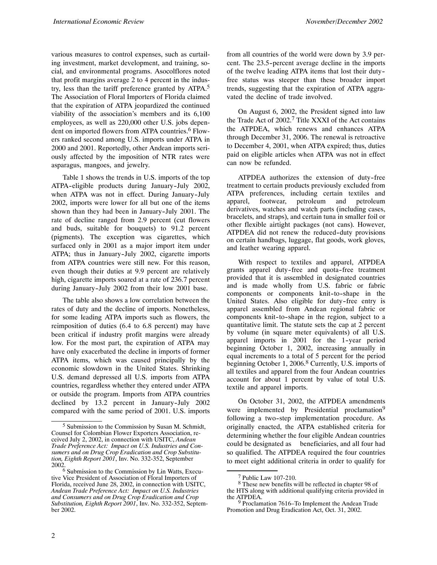various measures to control expenses, such as curtailing investment, market development, and training, social, and environmental programs. Asocolflores noted that profit margins average 2 to 4 percent in the industry, less than the tariff preference granted by  $ATPA$ <sup>5</sup> The Association of Floral Importers of Florida claimed that the expiration of ATPA jeopardized the continued viability of the association's members and its 6,100 employees, as well as 220,000 other U.S. jobs dependent on imported flowers from ATPA countries.<sup>6</sup> Flowers ranked second among U.S. imports under ATPA in 2000 and 2001. Reportedly, other Andean imports seriously affected by the imposition of NTR rates were asparagus, mangoes, and jewelry.

Table 1 shows the trends in U.S. imports of the top ATPA-eligible products during January-July 2002, when ATPA was not in effect. During January-July 2002, imports were lower for all but one of the items shown than they had been in January-July 2001. The rate of decline ranged from 2.9 percent (cut flowers and buds, suitable for bouquets) to 91.2 percent (pigments). The exception was cigarettes, which surfaced only in 2001 as a major import item under ATPA; thus in January-July 2002, cigarette imports from ATPA countries were still new. For this reason, even though their duties at 9.9 percent are relatively high, cigarette imports soared at a rate of 236.7 percent during January--July 2002 from their low 2001 base.

The table also shows a low correlation between the rates of duty and the decline of imports. Nonetheless, for some leading ATPA imports such as flowers, the reimposition of duties (6.4 to 6.8 percent) may have been critical if industry profit margins were already low. For the most part, the expiration of ATPA may have only exacerbated the decline in imports of former ATPA items, which was caused principally by the economic slowdown in the United States. Shrinking U.S. demand depressed all U.S. imports from ATPA countries, regardless whether they entered under ATPA or outside the program. Imports from ATPA countries declined by 13.2 percent in January-July 2002 compared with the same period of 2001. U.S. imports

from all countries of the world were down by 3.9 percent. The 23.5-percent average decline in the imports of the twelve leading ATPA items that lost their duty- free status was steeper than these broader import trends, suggesting that the expiration of ATPA aggravated the decline of trade involved.

On August 6, 2002, the President signed into law the Trade Act of  $2002<sup>7</sup>$  Title XXXI of the Act contains the ATPDEA, which renews and enhances ATPA through December 31, 2006. The renewal is retroactive to December 4, 2001, when ATPA expired; thus, duties paid on eligible articles when ATPA was not in effect can now be refunded.

ATPDEA authorizes the extension of duty-free treatment to certain products previously excluded from ATPA preferences, including certain textiles and apparel, footwear, petroleum and petroleum derivatives, watches and watch parts (including cases, bracelets, and straps), and certain tuna in smaller foil or other flexible airtight packages (not cans). However, ATPDEA did not renew the reduced-duty provisions on certain handbags, luggage, flat goods, work gloves, and leather wearing apparel.

With respect to textiles and apparel, ATPDEA grants apparel duty-free and quota-free treatment provided that it is assembled in designated countries and is made wholly from U.S. fabric or fabric components or components knit-to-shape in the United States. Also eligible for duty-free entry is apparel assembled from Andean regional fabric or components knit-to-shape in the region, subject to a quantitative limit. The statute sets the cap at 2 percent by volume (in square meter equivalents) of all U.S. apparel imports in 2001 for the 1-year period beginning October 1, 2002, increasing annually in equal increments to a total of 5 percent for the period beginning October 1, 2006.<sup>8</sup> Currently, U.S. imports of all textiles and apparel from the four Andean countries account for about 1 percent by value of total U.S. textile and apparel imports.

On October 31, 2002, the ATPDEA amendments were implemented by Presidential proclamation<sup>9</sup> following a two-step implementation procedure. As originally enacted, the ATPA established criteria for determining whether the four eligible Andean countries could be designated as beneficiaries, and all four had so qualified. The ATPDEA required the four countries to meet eight additional criteria in order to qualify for

<sup>5</sup> Submission to the Commission by Susan M. Schmidt, Counsel for Colombian Flower Exporters Association, received July 2, 2002, in connection with USITC, *Andean Trade Preference Act: Impact on U.S. Industries and Consumers and on Drug Crop Eradication and Crop Substitution, Eighth Report 2001*, Inv. No. 332-352, September 2002.

<sup>6</sup> Submission to the Commission by Lin Watts, Executive Vice President of Association of Floral Importers of Florida, received June 28, 2002, in connection with USITC, *Andean Trade Preference Act: Impact on U.S. Industries and Consumers and on Drug Crop Eradication and Crop Substitution, Eighth Report 2001*, Inv. No. 332-352, September 2002.

<sup>7</sup> Public Law 107-210.

<sup>8</sup> These new benefits will be reflected in chapter 98 of the HTS along with additional qualifying criteria provided in the ATPDEA.

<sup>9</sup> Proclamation 7616–To Implement the Andean Trade Promotion and Drug Eradication Act, Oct. 31, 2002.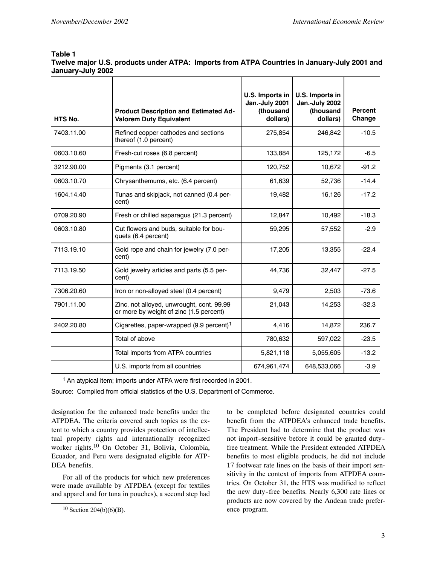#### **Table 1 Twelve major U.S. products under ATPA: Imports from ATPA Countries in January-July 2001 and January-July 2002**

| HTS No.    | <b>Product Description and Estimated Ad-</b><br><b>Valorem Duty Equivalent</b>       | U.S. Imports in<br>Jan.-July 2001<br>(thousand<br>dollars) | U.S. Imports in<br>Jan.-July 2002<br>(thousand<br>dollars) | <b>Percent</b><br>Change |
|------------|--------------------------------------------------------------------------------------|------------------------------------------------------------|------------------------------------------------------------|--------------------------|
| 7403.11.00 | Refined copper cathodes and sections<br>thereof (1.0 percent)                        | 275,854                                                    | 246,842                                                    | $-10.5$                  |
| 0603.10.60 | Fresh-cut roses (6.8 percent)                                                        | 133,884                                                    | 125,172                                                    | $-6.5$                   |
| 3212.90.00 | Pigments (3.1 percent)                                                               | 120,752                                                    | 10,672                                                     | $-91.2$                  |
| 0603.10.70 | Chrysanthemums, etc. (6.4 percent)                                                   | 61,639                                                     | 52,736                                                     | $-14.4$                  |
| 1604.14.40 | Tunas and skipjack, not canned (0.4 per-<br>cent)                                    | 19,482                                                     | 16,126                                                     | $-17.2$                  |
| 0709.20.90 | Fresh or chilled asparagus (21.3 percent)                                            | 12,847                                                     | 10,492                                                     | $-18.3$                  |
| 0603.10.80 | Cut flowers and buds, suitable for bou-<br>quets (6.4 percent)                       | 59,295                                                     | 57,552                                                     | $-2.9$                   |
| 7113.19.10 | Gold rope and chain for jewelry (7.0 per-<br>cent)                                   | 17,205                                                     | 13,355                                                     | $-22.4$                  |
| 7113.19.50 | Gold jewelry articles and parts (5.5 per-<br>cent)                                   | 44,736                                                     | 32,447                                                     | $-27.5$                  |
| 7306.20.60 | Iron or non-alloyed steel (0.4 percent)                                              | 9,479                                                      | 2,503                                                      | $-73.6$                  |
| 7901.11.00 | Zinc, not alloyed, unwrought, cont. 99.99<br>or more by weight of zinc (1.5 percent) | 21,043                                                     | 14,253                                                     | $-32.3$                  |
| 2402.20.80 | Cigarettes, paper-wrapped (9.9 percent) <sup>1</sup>                                 | 4,416                                                      | 14,872                                                     | 236.7                    |
|            | Total of above                                                                       | 780,632                                                    | 597,022                                                    | $-23.5$                  |
|            | Total imports from ATPA countries                                                    | 5,821,118                                                  | 5,055,605                                                  | $-13.2$                  |
|            | U.S. imports from all countries                                                      | 674,961,474                                                | 648,533,066                                                | $-3.9$                   |

<sup>1</sup> An atypical item; imports under ATPA were first recorded in 2001.

Source: Compiled from official statistics of the U.S. Department of Commerce.

designation for the enhanced trade benefits under the ATPDEA. The criteria covered such topics as the extent to which a country provides protection of intellectual property rights and internationally recognized worker rights.<sup>10</sup> On October 31, Bolivia, Colombia, Ecuador, and Peru were designated eligible for ATP-DEA benefits.

For all of the products for which new preferences were made available by ATPDEA (except for textiles and apparel and for tuna in pouches), a second step had

to be completed before designated countries could benefit from the ATPDEA's enhanced trade benefits. The President had to determine that the product was not import--sensitive before it could be granted duty- free treatment. While the President extended ATPDEA benefits to most eligible products, he did not include 17 footwear rate lines on the basis of their import sensitivity in the context of imports from ATPDEA countries. On October 31, the HTS was modified to reflect the new duty-free benefits. Nearly 6,300 rate lines or products are now covered by the Andean trade preference program.

 $10$  Section 204(b)(6)(B).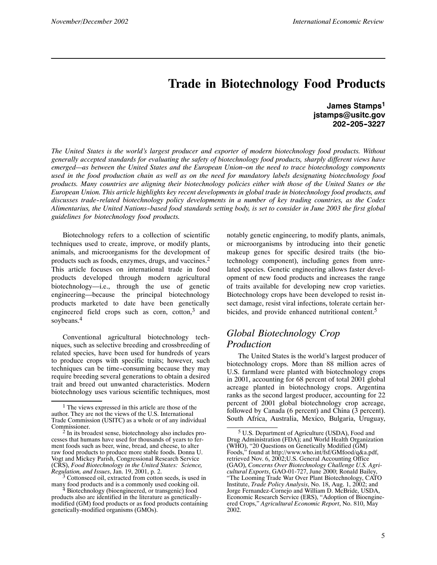## **Trade in Biotechnology Food Products**

**James Stamps1 jstamps@usitc.gov 202--205--3227**

*The United States is the world's largest producer and exporter of modern biotechnology food products. Without generally accepted standards for evaluating the safety of biotechnology food products, sharply different views have emerged—as between the United States and the European Union–on the need to trace biotechnology components used in the food production chain as well as on the need for mandatory labels designating biotechnology food products. Many countries are aligning their biotechnology policies either with those of the United States or the European Union. This article highlights key recent developments in global trade in biotechnology food products, and discusses trade--related biotechnology policy developments in a number of key trading countries, as the Codex Alimentarius, the United Nations--based food standards setting body, is set to consider in June 2003 the first global guidelines for biotechnology food products.*

Biotechnology refers to a collection of scientific techniques used to create, improve, or modify plants, animals, and microorganisms for the development of products such as foods, enzymes, drugs, and vaccines.<sup>2</sup> This article focuses on international trade in food products developed through modern agricultural biotechnology—i.e., through the use of genetic engineering—because the principal biotechnology products marketed to date have been genetically engineered field crops such as corn, cotton, $3$  and soybeans.<sup>4</sup>

Conventional agricultural biotechnology techniques, such as selective breeding and crossbreeding of related species, have been used for hundreds of years to produce crops with specific traits; however, such techniques can be time-consuming because they may require breeding several generations to obtain a desired trait and breed out unwanted characteristics. Modern biotechnology uses various scientific techniques, most

notably genetic engineering, to modify plants, animals, or microorganisms by introducing into their genetic makeup genes for specific desired traits (the biotechnology component), including genes from unrelated species. Genetic engineering allows faster development of new food products and increases the range of traits available for developing new crop varieties. Biotechnology crops have been developed to resist insect damage, resist viral infections, tolerate certain herbicides, and provide enhanced nutritional content.<sup>5</sup>

#### *Global Biotechnology Crop Production*

The United States is the world's largest producer of biotechnology crops. More than 88 million acres of U.S. farmland were planted with biotechnology crops in 2001, accounting for 68 percent of total 2001 global acreage planted in biotechnology crops. Argentina ranks as the second largest producer, accounting for 22 percent of 2001 global biotechnology crop acreage, followed by Canada (6 percent) and China (3 percent). South Africa, Australia, Mexico, Bulgaria, Uruguay,

<sup>1</sup> The views expressed in this article are those of the author. They are not the views of the U.S. International Trade Commission (USITC) as a whole or of any individual Commissioner.

<sup>2</sup> In its broadest sense, biotechnology also includes processes that humans have used for thousands of years to ferment foods such as beer, wine, bread, and cheese, to alter raw food products to produce more stable foods. Donna U. Vogt and Mickey Parish, Congressional Research Service (CRS), *Food Biotechnology in the United States: Science,*

<sup>&</sup>lt;sup>3</sup> Cottonseed oil, extracted from cotton seeds, is used in many food products and is a commonly used cooking oil.<br><sup>4</sup> Biotechnology (bioengineered, or transgenic) food

products also are identified in the literature as geneticallymodified (GM) food products or as food products containing genetically-modified organisms (GMOs).

<sup>5</sup> U.S. Department of Agriculture (USDA), Food and Drug Administration (FDA); and World Health Organization (WHO), "20 Questions on Genetically Modified (GM) Foods," found at http://www.who.int/fsf/GMfood/q&a.pdf, retrieved Nov. 6, 2002;U.S. General Accounting Office (GAO), *Concerns Over Biotechnology Challenge U.S. Agricultural Exports*, GAO-01-727, June 2000; Ronald Bailey, "The Looming Trade War Over Plant Biotechnology, CATO Institute, *Trade Policy Analysis*, No. 18, Aug. 1, 2002; and Jorge Fernandez-Cornejo and William D. McBride, USDA, Economic Research Service (ERS), "Adoption of Bioengineered Crops," *Agricultural Economic Report*, No. 810, May 2002.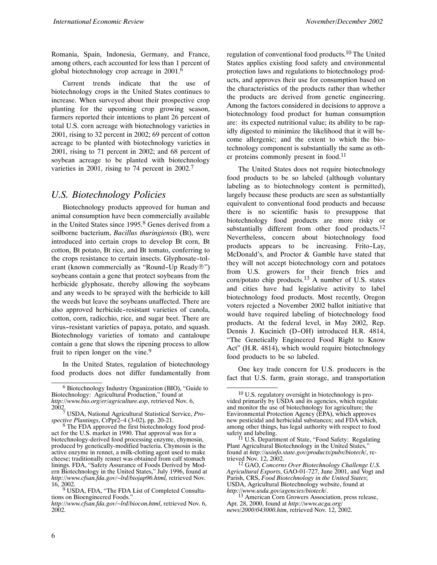Romania, Spain, Indonesia, Germany, and France, among others, each accounted for less than 1 percent of global biotechnology crop acreage in 2001.6

Current trends indicate that the use of biotechnology crops in the United States continues to increase. When surveyed about their prospective crop planting for the upcoming crop growing season, farmers reported their intentions to plant 26 percent of total U.S. corn acreage with biotechnology varieties in 2001, rising to 32 percent in 2002; 69 percent of cotton acreage to be planted with biotechnology varieties in 2001, rising to 71 percent in 2002; and 68 percent of soybean acreage to be planted with biotechnology varieties in 2001, rising to 74 percent in 2002.<sup>7</sup>

#### *U.S. Biotechnology Policies*

Biotechnology products approved for human and animal consumption have been commercially available in the United States since 1995.<sup>8</sup> Genes derived from a soilborne bacterium, *Bacillus thuringiensis* (Bt), were introduced into certain crops to develop Bt corn, Bt cotton, Bt potato, Bt rice, and Bt tomato, conferring to the crops resistance to certain insects. Glyphosate-tolerant (known commercially as "Round-Up Ready®") soybeans contain a gene that protect soybeans from the herbicide glyphosate, thereby allowing the soybeans and any weeds to be sprayed with the herbicide to kill the weeds but leave the soybeans unaffected. There are also approved herbicide--resistant varieties of canola, cotton, corn, radicchio, rice, and sugar beet. There are virus--resistant varieties of papaya, potato, and squash. Biotechnology varieties of tomato and cantaloupe contain a gene that slows the ripening process to allow fruit to ripen longer on the vine.<sup>9</sup>

In the United States, regulation of biotechnology food products does not differ fundamentally from regulation of conventional food products.10 The United States applies existing food safety and environmental protection laws and regulations to biotechnology products, and approves their use for consumption based on the characteristics of the products rather than whether the products are derived from genetic engineering. Among the factors considered in decisions to approve a biotechnology food product for human consumption are: its expected nutritional value; its ability to be rapidly digested to minimize the likelihood that it will become allergenic; and the extent to which the biotechnology component is substantially the same as other proteins commonly present in food.<sup>11</sup>

The United States does not require biotechnology food products to be so labeled (although voluntary labeling as to biotechnology content is permitted), largely because these products are seen as substantially equivalent to conventional food products and because there is no scientific basis to presuppose that biotechnology food products are more risky or substantially different from other food products.<sup>12</sup> Nevertheless, concern about biotechnology food products appears to be increasing. Frito-Lay, McDonald's, and Proctor & Gamble have stated that they will not accept biotechnology corn and potatoes from U.S. growers for their french fries and  $\text{corn}/\text{potato chip products}.$ <sup>13</sup> A number of U.S. states and cities have had legislative activity to label biotechnology food products. Most recently, Oregon voters rejected a November 2002 ballot initiative that would have required labeling of biotechnology food products. At the federal level, in May 2002, Rep. Dennis J. Kucinich (D-OH) introduced H.R. 4814, "The Genetically Engineered Food Right to Know Act" (H.R. 4814), which would require biotechnology food products to be so labeled.

One key trade concern for U.S. producers is the fact that U.S. farm, grain storage, and transportation

<sup>6</sup> Biotechnology Industry Organization (BIO), "Guide to Biotechnology: Agricultural Production," found at *http://www.bio.org/er/agriculture.asp*, retrieved Nov. 6,

<sup>2002.</sup> <sup>7</sup> USDA, National Agricultural Statistical Service, *Prospective Plantings*, CrPpr2–4 (3-02), pp. 20-21.<br><sup>8</sup> The FDA approved the first biotechnology food prod-

uct for the U.S. market in 1990. That approval was for a biotechnology-derived food processing enzyme, chymosin, produced by genetically-modified bacteria. Chymosin is the active enzyme in rennet, a milk-clotting agent used to make cheese; traditionally rennet was obtained from calf stomach linings. FDA, "Safety Assurance of Foods Derived by Modern Biotechnology in the United States," July 1996, found at *http://www.cfsan.fda.gov/~lrd/biojap96.html,* retrieved Nov.

<sup>&</sup>lt;sup>9</sup> USDA, FDA, "The FDA List of Completed Consultations on Bioengineered Foods."

*http://www.cfsan.fda.gov/~lrd/biocon.html*, retrieved Nov. 6, 2002.

<sup>10</sup> U.S. regulatory oversight in biotechnology is provided primarily by USDA and its agencies, which regulate and monitor the use of biotechnology for agriculture; the Environmental Protection Agency (EPA), which approves new pesticidal and herbicidal substances; and FDA which, among other things, has legal authority with respect to food

safety and labeling.<br><sup>11</sup> U.S. Department of State, "Food Safety: Regulating<br>the United States" Plant Agricultural Biotechnology in the United States, found at *http://usinfo.state.gov/products/pubs/biotech/*, re-

<sup>&</sup>lt;sup>12</sup> GAO, *Concerns Over Biotechnology Challenge U.S. Agricultural Exports*, GAO-01-727, June 2001, and Vogt and Parish, CRS, Food Biotechnology in the United States; USDA, Agricultural Biotechnology website, found at

*http://www.usda.gov/agencies/biotech/*. <sup>13</sup> American Corn Growers Association, press release, Apr. 28, 2000, found at *http://www.acga.org/ news/2000/043000.htm*, retrieved Nov. 12, 2002.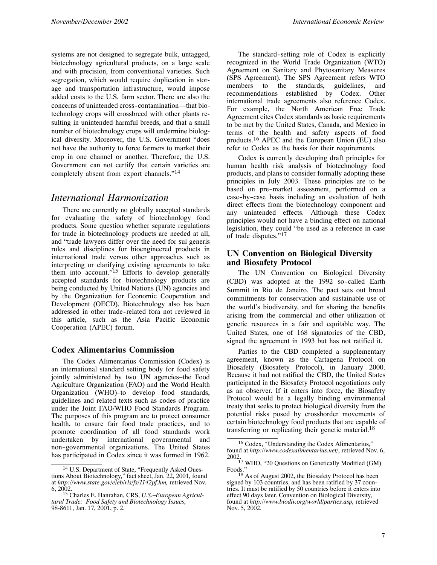systems are not designed to segregate bulk, untagged, biotechnology agricultural products, on a large scale and with precision, from conventional varieties. Such segregation, which would require duplication in storage and transportation infrastructure, would impose added costs to the U.S. farm sector. There are also the concerns of unintended cross-contamination—that biotechnology crops will crossbreed with other plants resulting in unintended harmful breeds, and that a small number of biotechnology crops will undermine biological diversity. Moreover, the U.S. Government "does not have the authority to force farmers to market their crop in one channel or another. Therefore, the U.S. Government can not certify that certain varieties are completely absent from export channels."<sup>14</sup>

#### *International Harmonization*

There are currently no globally accepted standards for evaluating the safety of biotechnology food products. Some question whether separate regulations for trade in biotechnology products are needed at all, and "trade lawyers differ over the need for sui generis rules and disciplines for bioengineered products in international trade versus other approaches such as interpreting or clarifying existing agreements to take them into account."15 Efforts to develop generally accepted standards for biotechnology products are being conducted by United Nations (UN) agencies and by the Organization for Economic Cooperation and Development (OECD). Biotechnology also has been addressed in other trade--related fora not reviewed in this article, such as the Asia Pacific Economic Cooperation (APEC) forum.

#### **Codex Alimentarius Commission**

The Codex Alimentarius Commission (Codex) is an international standard setting body for food safety jointly administered by two UN agencies–the Food Agriculture Organization (FAO) and the World Health Organization (WHO)–to develop food standards, guidelines and related texts such as codes of practice under the Joint FAO/WHO Food Standards Program. The purposes of this program are to protect consumer health, to ensure fair food trade practices, and to promote coordination of all food standards work undertaken by international governmental and non--governmental organizations. The United States has participated in Codex since it was formed in 1962.

The standard-setting role of Codex is explicitly recognized in the World Trade Organization (WTO) Agreement on Sanitary and Phytosanitary Measures (SPS Agreement). The SPS Agreement refers WTO members to the standards, guidelines, and recommendations established by Codex. Other international trade agreements also reference Codex. For example, the North American Free Trade Agreement cites Codex standards as basic requirements to be met by the United States, Canada, and Mexico in terms of the health and safety aspects of food products.<sup>16</sup> APEC and the European Union (EU) also refer to Codex as the basis for their requirements.

Codex is currently developing draft principles for human health risk analysis of biotechnology food products, and plans to consider formally adopting these principles in July 2003. These principles are to be based on pre--market assessment, performed on a case--by--case basis including an evaluation of both direct effects from the biotechnology component and any unintended effects. Although these Codex principles would not have a binding effect on national legislation, they could "be used as a reference in case of trade disputes."17

#### **UN Convention on Biological Diversity and Biosafety Protocol**

The UN Convention on Biological Diversity (CBD) was adopted at the 1992 so-called Earth Summit in Rio de Janeiro. The pact sets out broad commitments for conservation and sustainable use of the world's biodiversity, and for sharing the benefits arising from the commercial and other utilization of genetic resources in a fair and equitable way. The United States, one of 168 signatories of the CBD, signed the agreement in 1993 but has not ratified it.

Parties to the CBD completed a supplementary agreement, known as the Cartagena Protocol on Biosafety (Biosafety Protocol), in January 2000. Because it had not ratified the CBD, the United States participated in the Biosafety Protocol negotiations only as an observer. If it enters into force, the Biosafety Protocol would be a legally binding environmental treaty that seeks to protect biological diversity from the potential risks posed by crossborder movements of certain biotechnology food products that are capable of transferring or replicating their genetic material.<sup>18</sup>

<sup>14</sup> U.S. Department of State, "Frequently Asked Questions About Biotechnology," fact sheet, Jan. 22, 2001, found at *http://www.state.gov/e/eb/rls/fs/1142pf.hm,* retrieved Nov.

<sup>6, 2002.</sup> <sup>15</sup> Charles E. Hanrahan, CRS, *U.S.–European Agricultural Trade: Food Safety and Biotechnology Issues*, 98-8611, Jan. 17, 2001, p. 2.

<sup>16</sup> Codex, "Understanding the Codex Alimentarius," found at *http://www.codexalimentarius.net/*, retrieved Nov. 6,

<sup>2002.</sup> 17 WHO, "20 Questions on Genetically Modified (GM) Foods." 18 As of August 2002, the Biosafety Protocol has been

signed by 103 countries, and has been ratified by 37 countries. It must be ratified by 50 countries before it enters into effect 90 days later. Convention on Biological Diversity, found at *http://www.biodiv.org/world/parties.asp,* retrieved Nov. 5, 2002.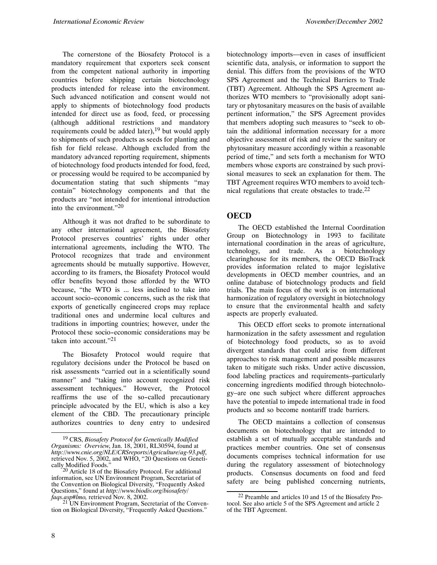The cornerstone of the Biosafety Protocol is a mandatory requirement that exporters seek consent from the competent national authority in importing countries before shipping certain biotechnology products intended for release into the environment. Such advanced notification and consent would not apply to shipments of biotechnology food products intended for direct use as food, feed, or processing (although additional restrictions and mandatory requirements could be added later), $19$  but would apply to shipments of such products as seeds for planting and fish for field release. Although excluded from the mandatory advanced reporting requirement, shipments of biotechnology food products intended for food, feed, or processing would be required to be accompanied by documentation stating that such shipments "may contain" biotechnology components and that the products are "not intended for intentional introduction into the environment."<sup>20</sup>

Although it was not drafted to be subordinate to any other international agreement, the Biosafety Protocol preserves countries' rights under other international agreements, including the WTO. The Protocol recognizes that trade and environment agreements should be mutually supportive. However, according to its framers, the Biosafety Protocol would offer benefits beyond those afforded by the WTO because, "the WTO is ... less inclined to take into account socio-economic concerns, such as the risk that exports of genetically engineered crops may replace traditional ones and undermine local cultures and traditions in importing countries; however, under the Protocol these socio-economic considerations may be taken into account."21

The Biosafety Protocol would require that regulatory decisions under the Protocol be based on risk assessments "carried out in a scientifically sound manner" and "taking into account recognized risk assessment techniques." However, the Protocol reaffirms the use of the so-called precautionary principle advocated by the EU, which is also a key element of the CBD. The precautionary principle authorizes countries to deny entry to undesired biotechnology imports—even in cases of insufficient scientific data, analysis, or information to support the denial. This differs from the provisions of the WTO SPS Agreement and the Technical Barriers to Trade (TBT) Agreement. Although the SPS Agreement authorizes WTO members to "provisionally adopt sanitary or phytosanitary measures on the basis of available pertinent information," the SPS Agreement provides that members adopting such measures to "seek to obtain the additional information necessary for a more objective assessment of risk and review the sanitary or phytosanitary measure accordingly within a reasonable period of time," and sets forth a mechanism for WTO members whose exports are constrained by such provisional measures to seek an explanation for them. The TBT Agreement requires WTO members to avoid technical regulations that create obstacles to trade. $^{22}$ 

#### **OECD**

The OECD established the Internal Coordination Group on Biotechnology in 1993 to facilitate international coordination in the areas of agriculture, technology, and trade. As a biotechnology clearinghouse for its members, the OECD BioTrack provides information related to major legislative developments in OECD member countries, and an online database of biotechnology products and field trials. The main focus of the work is on international harmonization of regulatory oversight in biotechnology to ensure that the environmental health and safety aspects are properly evaluated.

This OECD effort seeks to promote international harmonization in the safety assessment and regulation of biotechnology food products, so as to avoid divergent standards that could arise from different approaches to risk management and possible measures taken to mitigate such risks. Under active discussion, food labeling practices and requirements–particularly concerning ingredients modified through biotechnology–are one such subject where different approaches have the potential to impede international trade in food products and so become nontariff trade barriers.

The OECD maintains a collection of consensus documents on biotechnology that are intended to establish a set of mutually acceptable standards and practices member countries. One set of consensus documents comprises technical information for use during the regulatory assessment of biotechnology products. Consensus documents on food and feed safety are being published concerning nutrients,

<sup>19</sup> CRS, *Biosafety Protocol for Genetically Modified Organisms: Overview*, Jan. 18, 2001, RL30594, found at *http://www.cnie.org/NLE/CRSreports/Agriculture/ag-93.pdf*, retrieved Nov. 5, 2002, and WHO, "20 Questions on Genetically Modified Foods." <sup>20</sup> Article 18 of the Biosafety Protocol. For additional

information, see UN Environment Program, Secretariat of the Convention on Biological Diversity, "Frequently Asked Questions," found at *http://www.biodiv.org/biosafety/ faqs.asp#lmo,* retrieved Nov. 8, 2002.

tion on Biological Diversity, "Frequently Asked Questions."

<sup>22</sup> Preamble and articles 10 and 15 of the Biosafety Protocol. See also article 5 of the SPS Agreement and article 2 of the TBT Agreement.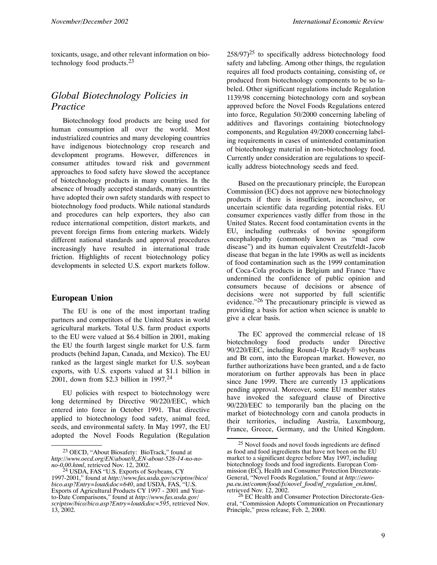toxicants, usage, and other relevant information on biotechnology food products.23

#### *Global Biotechnology Policies in Practice*

Biotechnology food products are being used for human consumption all over the world. Most industrialized countries and many developing countries have indigenous biotechnology crop research and development programs. However, differences in consumer attitudes toward risk and government approaches to food safety have slowed the acceptance of biotechnology products in many countries. In the absence of broadly accepted standards, many countries have adopted their own safety standards with respect to biotechnology food products. While national standards and procedures can help exporters, they also can reduce international competition, distort markets, and prevent foreign firms from entering markets. Widely different national standards and approval procedures increasingly have resulted in international trade friction. Highlights of recent biotechnology policy developments in selected U.S. export markets follow.

#### **European Union**

The EU is one of the most important trading partners and competitors of the United States in world agricultural markets. Total U.S. farm product exports to the EU were valued at \$6.4 billion in 2001, making the EU the fourth largest single market for U.S. farm products (behind Japan, Canada, and Mexico). The EU ranked as the largest single market for U.S. soybean exports, with U.S. exports valued at \$1.1 billion in 2001, down from \$2.3 billion in 1997.24

EU policies with respect to biotechnology were long determined by Directive 90/220/EEC, which entered into force in October 1991. That directive applied to biotechnology food safety, animal feed, seeds, and environmental safety. In May 1997, the EU adopted the Novel Foods Regulation (Regulation  $258/97$ <sup>25</sup> to specifically address biotechnology food safety and labeling. Among other things, the regulation requires all food products containing, consisting of, or produced from biotechnology components to be so labeled. Other significant regulations include Regulation 1139/98 concerning biotechnology corn and soybean approved before the Novel Foods Regulations entered into force, Regulation 50/2000 concerning labeling of additives and flavorings containing biotechnology components, and Regulation 49/2000 concerning labeling requirements in cases of unintended contamination of biotechnology material in non--biotechnology food. Currently under consideration are regulations to specifically address biotechnology seeds and feed.

Based on the precautionary principle, the European Commission (EC) does not approve new biotechnology products if there is insufficient, inconclusive, or uncertain scientific data regarding potential risks. EU consumer experiences vastly differ from those in the United States. Recent food contamination events in the EU, including outbreaks of bovine spongiform encephalopathy (commonly known as "mad cow disease") and its human equivalent Creutzfeldt-Jacob disease that began in the late 1990s as well as incidents of food contamination such as the 1999 contamination of Coca-Cola products in Belgium and France "have undermined the confidence of public opinion and consumers because of decisions or absence of decisions were not supported by full scientific evidence."26 The precautionary principle is viewed as providing a basis for action when science is unable to give a clear basis.

The EC approved the commercial release of 18 biotechnology food products under Directive  $90/220/EEC$ , including Round-Up Ready® soybeans and Bt corn, into the European market. However, no further authorizations have been granted, and a de facto moratorium on further approvals has been in place since June 1999. There are currently 13 applications pending approval. Moreover, some EU member states have invoked the safeguard clause of Directive 90/220/EEC to temporarily ban the placing on the market of biotechnology corn and canola products in their territories, including Austria, Luxembourg, France, Greece, Germany, and the United Kingdom.

<sup>23</sup> OECD, "About Biosafety: BioTrack," found at *http://www.oecd.org/EN/about/0,,EN-about-528-14-no-no-*

<sup>&</sup>lt;sup>24</sup> USDA, FAS "U.S. Exports of Soybeans, CY 1997-2001," found at *http://www.fas.usda.gov/scriptsw/bico/ bico.asp?Entry=lout&doc=640*, and USDA, FAS, "U.S. Exports of Agricultural Products CY 1997 - 2001 and Yearto-Date Comparisons," found at *http://www.fas.usda.gov/ scriptsw/bico/bico.asp?Entry=lout&doc=595*, retrieved Nov. 13, 2002.

<sup>25</sup> Novel foods and novel foods ingredients are defined as food and food ingredients that have not been on the EU market to a significant degree before May 1997, including biotechnology foods and food ingredients. European Commission (EC), Health and Consumer Protection Directorate-General, "Novel Foods Regulation," found at *http://europa.eu.int/comm/food/fs/novel\_food/nf\_regulation\_en.html*, retrieved Nov. 12, 2002.

<sup>&</sup>lt;sup>26</sup> EC Health and Consumer Protection Directorate-General, "Commission Adopts Communication on Precautionary Principle," press release, Feb. 2, 2000.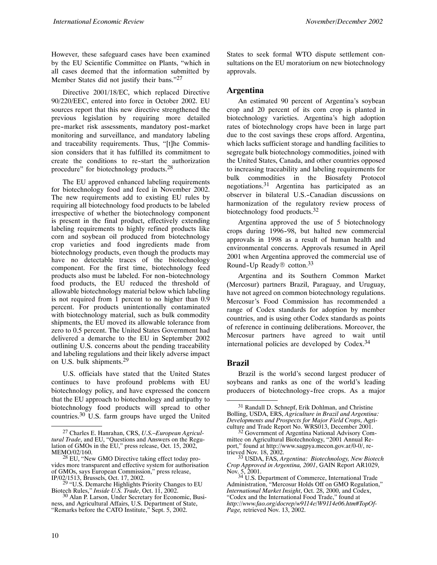However, these safeguard cases have been examined by the EU Scientific Committee on Plants, "which in all cases deemed that the information submitted by Member States did not justify their bans."<sup>27</sup>

Directive 2001/18/EC, which replaced Directive 90/220/EEC, entered into force in October 2002. EU sources report that this new directive strengthened the previous legislation by requiring more detailed pre-market risk assessments, mandatory post-market monitoring and surveillance, and mandatory labeling and traceability requirements. Thus, "[t]he Commission considers that it has fulfilled its commitment to create the conditions to re-start the authorization procedure" for biotechnology products.<sup>28</sup>

The EU approved enhanced labeling requirements for biotechnology food and feed in November 2002. The new requirements add to existing EU rules by requiring all biotechnology food products to be labeled irrespective of whether the biotechnology component is present in the final product, effectively extending labeling requirements to highly refined products like corn and soybean oil produced from biotechnology crop varieties and food ingredients made from biotechnology products, even though the products may have no detectable traces of the biotechnology component. For the first time, biotechnology feed products also must be labeled. For non-biotechnology food products, the EU reduced the threshold of allowable biotechnology material below which labeling is not required from 1 percent to no higher than 0.9 percent. For products unintentionally contaminated with biotechnology material, such as bulk commodity shipments, the EU moved its allowable tolerance from zero to 0.5 percent. The United States Government had delivered a demarche to the EU in September 2002 outlining U.S. concerns about the pending traceability and labeling regulations and their likely adverse impact on U.S. bulk shipments.<sup>29</sup>

U.S. officials have stated that the United States continues to have profound problems with EU biotechnology policy, and have expressed the concern that the EU approach to biotechnology and antipathy to biotechnology food products will spread to other countries.30 U.S. farm groups have urged the United

States to seek formal WTO dispute settlement consultations on the EU moratorium on new biotechnology approvals.

#### **Argentina**

An estimated 90 percent of Argentina's soybean crop and 20 percent of its corn crop is planted in biotechnology varieties. Argentina's high adoption rates of biotechnology crops have been in large part due to the cost savings these crops afford. Argentina, which lacks sufficient storage and handling facilities to segregate bulk biotechnology commodities, joined with the United States, Canada, and other countries opposed to increasing traceability and labeling requirements for bulk commodities in the Biosafety Protocol negotiations.<sup>31</sup> Argentina has participated as an observer in bilateral U.S.-Canadian discussions on harmonization of the regulatory review process of biotechnology food products.32

Argentina approved the use of 5 biotechnology crops during 1996-98, but halted new commercial approvals in 1998 as a result of human health and environmental concerns. Approvals resumed in April 2001 when Argentina approved the commercial use of Round-Up Ready<sup>®</sup> cotton.<sup>33</sup>

Argentina and its Southern Common Market (Mercosur) partners Brazil, Paraguay, and Uruguay, have not agreed on common biotechnology regulations. Mercosur's Food Commission has recommended a range of Codex standards for adoption by member countries, and is using other Codex standards as points of reference in continuing deliberations. Moreover, the Mercosur partners have agreed to wait until international policies are developed by Codex.<sup>34</sup>

#### **Brazil**

Brazil is the world's second largest producer of soybeans and ranks as one of the world's leading producers of biotechnology-free crops. As a major

<sup>27</sup> Charles E. Hanrahan, CRS, *U.S.–European Agricultural Trade*, and EU, "Questions and Answers on the Regulation of GMOs in the EU," press release, Oct. 15, 2002, MEMO/02/160.

 $28$  EU, "New GMO Directive taking effect today provides more transparent and effective system for authorisation of GMOs, says European Commission," press release, IP/02/1513, Brussels, Oct. 17, 2002.

 $^{29}$  "U.S. Demarche Highlights Priority Changes to EU Biotech Rules," *Inside U.S. Trade*, Oct. 11, 2002.

<sup>&</sup>lt;sup>30</sup> Alan P. Larson, Under Secretary for Economic, Business, and Agricultural Affairs, U.S. Department of State, "Remarks before the CATO Institute," Sept. 5, 2002.

<sup>31</sup> Randall D. Schnepf, Erik Dohlman, and Christine Bolling, USDA, ERS, *Agriculture in Brazil and Argentina: Developments and Prospects for Major Field Crops*, Agriculture and Trade Report No. WRS013, December 2001.<br><sup>32</sup> Government of Argentina National Advisory Com-

mittee on Agricultural Biotechnology, "2001 Annual Report," found at http://www.sagpya.mecon.gov.ar/0-0/, re-<br>trieved Nov. 18, 2002.

 $t^{33}$  USDA, FAS, *Argentina: Biotechnology, New Biotech Crop Approved in Argentina, 2001*, GAIN Report AR1029,

Nov. 5, 2001.<br><sup>34</sup> U.S. Department of Commerce, International Trade Administration, "Mercosur Holds Off on GMO Regulation," *International Market Insight*, Oct. 28, 2000, and Codex, "Codex and the International Food Trade," found at *http://www.fao.org/docrep/w9114e/W9114e06.htm#TopOf-Page,* retrieved Nov. 13, 2002.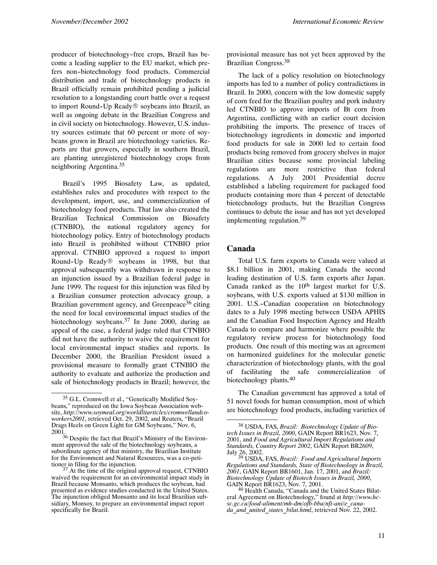producer of biotechnology-free crops, Brazil has become a leading supplier to the EU market, which prefers non--biotechnology food products. Commercial distribution and trade of biotechnology products in Brazil officially remain prohibited pending a judicial resolution to a longstanding court battle over a request to import Round-Up Ready® soybeans into Brazil, as well as ongoing debate in the Brazilian Congress and in civil society on biotechnology. However, U.S. industry sources estimate that 60 percent or more of soybeans grown in Brazil are biotechnology varieties. Reports are that growers, especially in southern Brazil, are planting unregistered biotechnology crops from neighboring Argentina.<sup>35</sup>

Brazil's 1995 Biosafety Law, as updated, establishes rules and procedures with respect to the development, import, use, and commercialization of biotechnology food products. That law also created the Brazilian Technical Commission on Biosafety (CTNBIO), the national regulatory agency for biotechnology policy. Entry of biotechnology products into Brazil is prohibited without CTNBIO prior approval. CTNBIO approved a request to import Round-Up Ready $\circledR$  soybeans in 1998, but that approval subsequently was withdrawn in response to an injunction issued by a Brazilian federal judge in June 1999. The request for this injunction was filed by a Brazilian consumer protection advocacy group, a Brazilian government agency, and Greenpeace<sup>36</sup> citing the need for local environmental impact studies of the biotechnology soybeans.37 In June 2000, during an appeal of the case, a federal judge ruled that CTNBIO did not have the authority to waive the requirement for local environmental impact studies and reports. In December 2000, the Brazilian President issued a provisional measure to formally grant CTNBIO the authority to evaluate and authorize the production and sale of biotechnology products in Brazil; however, the provisional measure has not yet been approved by the Brazilian Congress.<sup>38</sup>

The lack of a policy resolution on biotechnology imports has led to a number of policy contradictions in Brazil. In 2000, concern with the low domestic supply of corn feed for the Brazilian poultry and pork industry led CTNBIO to approve imports of Bt corn from Argentina, conflicting with an earlier court decision prohibiting the imports. The presence of traces of biotechnology ingredients in domestic and imported food products for sale in 2000 led to certain food products being removed from grocery shelves in major Brazilian cities because some provincial labeling regulations are more restrictive than federal regulations. A July 2001 Presidential decree established a labeling requirement for packaged food products containing more than 4 percent of detectable biotechnology products, but the Brazilian Congress continues to debate the issue and has not yet developed implementing regulation.<sup>39</sup>

#### **Canada**

Total U.S. farm exports to Canada were valued at \$8.1 billion in 2001, making Canada the second leading destination of U.S. farm exports after Japan. Canada ranked as the  $10<sup>th</sup>$  largest market for U.S. soybeans, with U.S. exports valued at \$130 million in 2001. U.S.-Canadian cooperation on biotechnology dates to a July 1998 meeting between USDA APHIS and the Canadian Food Inspection Agency and Health Canada to compare and harmonize where possible the regulatory review process for biotechnology food products. One result of this meeting was an agreement on harmonized guidelines for the molecular genetic characterization of biotechnology plants, with the goal of facilitating the safe commercialization of biotechnology plants.<sup>40</sup>

The Canadian government has approved a total of 51 novel foods for human consumption, most of which are biotechnology food products, including varieties of

<sup>35</sup> G.L. Cromwell et al., "Genetically Modified Soybeans," reproduced on the Iowa Soybean Association website, *http://www.soymeal.org/worldlitarticles/cromwellandcoworkers2001*, retrieved Oct. 29, 2002, and Reuters, "Brazil Drags Heels on Green Light for GM Soybeans," Nov. 6, 2001.

<sup>36</sup> Despite the fact that Brazil's Ministry of the Environment approved the sale of the biotechnology soybeans, a subordinate agency of that ministry, the Brazilian Institute for the Environment and Natural Resources, was a co-peti-

tioner in filing for the injunction.<br> $37$  At the time of the original approval request, CTNBIO waived the requirement for an environmental impact study in Brazil because Monsanto, which produces the soybean, had presented as evidence studies conducted in the United States. The injunction obliged Monsanto and its local Brazilian subsidiary, Monsoy, to prepare an environmental impact report specifically for Brazil.

<sup>38</sup> USDA, FAS, *Brazil: Biotechnology Update of Biotech Issues in Brazil, 2000*, GAIN Report BR1623, Nov. 7, 2001, and *Food and Agricultural Import Regulations and Standards, Country Report 2002*, GAIN Report BR2609,

July 26, 2002. <sup>39</sup> USDA, FAS, *Brazil: Food and Agricultural Imports Regulations and Standards, State of Biotechnology in Brazil, 2001*, GAIN Report BR1601, Jan. 17, 2001, and *Brazil: Biotechnology Update of Biotech Issues in Brazil, 2000*, GAIN Report BR1623, Nov. 7, 2001.<br>
<sup>40</sup> Health Canada, "Canada and the United States Bilat-

eral Agreement on Biotechnology," found at *http://www.hcsc.gc.ca/food-aliment/mh-dm/ofb-bba/nfi-ani/e\_canada\_and\_united\_states\_bilat.html*, retrieved Nov. 22, 2002.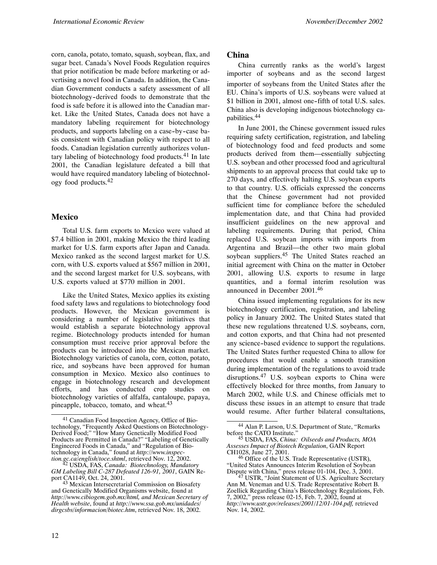corn, canola, potato, tomato, squash, soybean, flax, and sugar beet. Canada's Novel Foods Regulation requires that prior notification be made before marketing or advertising a novel food in Canada. In addition, the Canadian Government conducts a safety assessment of all biotechnology-derived foods to demonstrate that the food is safe before it is allowed into the Canadian market. Like the United States, Canada does not have a mandatory labeling requirement for biotechnology products, and supports labeling on a case-by-case basis consistent with Canadian policy with respect to all foods. Canadian legislation currently authorizes voluntary labeling of biotechnology food products. $41$  In late 2001, the Canadian legislature defeated a bill that would have required mandatory labeling of biotechnology food products.<sup>42</sup>

#### **Mexico**

Total U.S. farm exports to Mexico were valued at \$7.4 billion in 2001, making Mexico the third leading market for U.S. farm exports after Japan and Canada. Mexico ranked as the second largest market for U.S. corn, with U.S. exports valued at \$567 million in 2001, and the second largest market for U.S. soybeans, with U.S. exports valued at \$770 million in 2001.

Like the United States, Mexico applies its existing food safety laws and regulations to biotechnology food products. However, the Mexican government is considering a number of legislative initiatives that would establish a separate biotechnology approval regime. Biotechnology products intended for human consumption must receive prior approval before the products can be introduced into the Mexican market. Biotechnology varieties of canola, corn, cotton, potato, rice, and soybeans have been approved for human consumption in Mexico. Mexico also continues to engage in biotechnology research and development efforts, and has conducted crop studies on biotechnology varieties of alfalfa, cantaloupe, papaya, pineapple, tobacco, tomato, and wheat.<sup>43</sup>

#### **China**

China currently ranks as the world's largest importer of soybeans and as the second largest importer of soybeans from the United States after the EU. China's imports of U.S. soybeans were valued at \$1 billion in 2001, almost one-fifth of total U.S. sales. China also is developing indigenous biotechnology capabilities.44

In June 2001, the Chinese government issued rules requiring safety certification, registration, and labeling of biotechnology food and feed products and some products derived from them—essentially subjecting U.S. soybean and other processed food and agricultural shipments to an approval process that could take up to 270 days, and effectively halting U.S. soybean exports to that country. U.S. officials expressed the concerns that the Chinese government had not provided sufficient time for compliance before the scheduled implementation date, and that China had provided insufficient guidelines on the new approval and labeling requirements. During that period, China replaced U.S. soybean imports with imports from Argentina and Brazil—the other two main global soybean suppliers.<sup>45</sup> The United States reached an initial agreement with China on the matter in October 2001, allowing U.S. exports to resume in large quantities, and a formal interim resolution was announced in December 2001.<sup>46</sup>

China issued implementing regulations for its new biotechnology certification, registration, and labeling policy in January 2002. The United States stated that these new regulations threatened U.S. soybeans, corn, and cotton exports, and that China had not presented any science-based evidence to support the regulations. The United States further requested China to allow for procedures that would enable a smooth transition during implementation of the regulations to avoid trade disruptions.<sup>47</sup> U.S. soybean exports to China were effectively blocked for three months, from January to March 2002, while U.S. and Chinese officials met to discuss these issues in an attempt to ensure that trade would resume. After further bilateral consultations,

<sup>41</sup> Canadian Food Inspection Agency, Office of Biotechnology, "Frequently Asked Questions on Biotechnology-Derived Food;" "How Many Genetically Modified Food Products are Permitted in Canada?" "Labeling of Genetically Engineered Foods in Canada," and "Regulation of Biotechnology in Canada," found at *http://www.inspec-*

*tion.gc.ca/english/toce.shtml*, retrieved Nov. 12, 2002. <sup>42</sup> USDA, FAS, *Canada: Biotechnology, Mandatory GM Labeling Bill C-287 Defeated 126-91, 2001*, GAIN Report CA1149, Oct. 24, 2001. <sup>43</sup> Mexican Intersecretarial Commission on Biosafety

and Genetically Modified Organisms website, found at *http://www.cibiogem.gob.mx/html, and Mexican Secretary of Health website*, found at *http://www.ssa.gob.mx/unidades/ dirgcsbs/informacion/biotec.htm*, retrieved Nov. 18, 2002.

<sup>44</sup> Alan P. Larson, U.S. Department of State, "Remarks before the CATO Institute." <sup>45</sup> USDA, FAS, *China: Oilseeds and Products, MOA*

*Assesses Impact of Biotech Regulation*, GAIN Report

 $^{46}$  Office of the U.S. Trade Representative (USTR), "United States Announces Interim Resolution of Soybean Dispute with China," press release 01-104, Dec. 3, 2001.<br><sup>47</sup> USTR, "Joint Statement of U.S. Agriculture Secretary

Ann M. Veneman and U.S. Trade Representative Robert B. Zoellick Regarding China's Biotechnology Regulations, Feb. 7, 2002," press release 02-15, Feb. 7, 2002, found at *http://www.ustr.gov/releases/2001/12/01-104.pdf,* retrieved Nov. 14, 2002.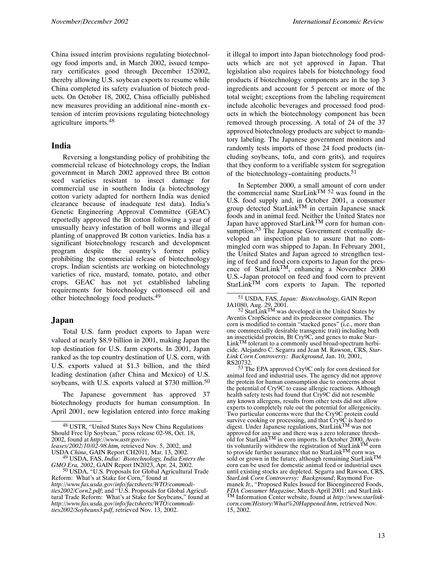China issued interim provisions regulating biotechnology food imports and, in March 2002, issued temporary certificates good through December 152002, thereby allowing U.S. soybean exports to resume while China completed its safety evaluation of biotech products. On October 18, 2002, China officially published new measures providing an additional nine-month extension of interim provisions regulating biotechnology agriculture imports.48

#### **India**

Reversing a longstanding policy of prohibiting the commercial release of biotechnology crops, the Indian government in March 2002 approved three Bt cotton seed varieties resistant to insect damage for commercial use in southern India (a biotechnology cotton variety adapted for northern India was denied clearance because of inadequate test data). India's Genetic Engineering Approval Committee (GEAC) reportedly approved the Bt cotton following a year of unusually heavy infestation of boll worms and illegal planting of unapproved Bt cotton varieties. India has a significant biotechnology research and development program despite the country's former policy prohibiting the commercial release of biotechnology crops. Indian scientists are working on biotechnology varieties of rice, mustard, tomato, potato, and other crops. GEAC has not yet established labeling requirements for biotechnology cottonseed oil and other biotechnology food products.49

#### **Japan**

Total U.S. farm product exports to Japan were valued at nearly \$8.9 billion in 2001, making Japan the top destination for U.S. farm exports. In 2001, Japan ranked as the top country destination of U.S. corn, with U.S. exports valued at \$1.3 billion, and the third leading destination (after China and Mexico) of U.S. soybeans, with U.S. exports valued at  $$730$  million.<sup>50</sup>

The Japanese government has approved 37 biotechnology products for human consumption. In April 2001, new legislation entered into force making

*leases/2002/10/02-98.htm,* retrieved Nov. 5, 2002, and

it illegal to import into Japan biotechnology food products which are not yet approved in Japan. That legislation also requires labels for biotechnology food products if biotechnology components are in the top 3 ingredients and account for 5 percent or more of the total weight; exceptions from the labeling requirement include alcoholic beverages and processed food products in which the biotechnology component has been removed through processing. A total of 24 of the 37 approved biotechnology products are subject to mandatory labeling. The Japanese government monitors and randomly tests imports of those 24 food products (including soybeans, tofu, and corn grits), and requires that they conform to a verifiable system for segregation of the biotechnology-containing products.<sup>51</sup>

In September 2000, a small amount of corn under the commercial name StarLink<sup>TM 52</sup> was found in the U.S. food supply and, in October 2001, a consumer group detected StarLinkTM in certain Japanese snack foods and in animal feed. Neither the United States nor Japan have approved StarLink<sup>TM</sup> corn for human consumption.<sup>53</sup> The Japanese Government eventually developed an inspection plan to assure that no commingled corn was shipped to Japan. In February 2001, the United States and Japan agreed to strengthen testing of feed and food corn exports to Japan for the presence of StarLink<sup>TM</sup>, enhancing a November  $2000$ U.S.--Japan protocol on feed and food corn to prevent StarLink<sup>TM</sup> corn exports to Japan. The reported

 $52 \text{ StarLink}^{\text{TM}}$  was developed in the United States by Aventis CropScience and its predecessor companies. The corn is modified to contain "stacked genes" (i.e., more than one commercially desirable transgenic trait) including both an insecticidal protein, Bt Cry9C, and genes to make Star- $Link<sup>TM</sup>$  tolerant to a commonly used broad-spectrum herbicide. Alejandro C. Segarra and Jean M. Rawson, CRS, *Star-Link Corn Controversy: Background*, Jan. 10, 2001,

RS20732.<br><sup>53</sup> The EPA approved Cry9C only for corn destined for animal feed and industrial uses. The agency did not approve the protein for human consumption due to concerns about the potential of Cry9C to cause allergic reactions. Although health safety tests had found that Cry9C did not resemble any known allergens, results from other tests did not allow experts to completely rule out the potential for allergenicity. Two particular concerns were that the Cry9C protein could survive cooking or processing, and that Cry9C is hard to digest. Under Japanese regulations, StarLinkTM was not approved for any use and there was a zero tolerance thresh-<br>old for StarLink<sup>TM</sup> in corn imports. In October 2000, Aventis voluntarily withdrew the registration of StarLink<sup>TM</sup> corn to provide further assurance that no StarLink<sup>TM</sup> corn was sold or grown in the future, although remaining StarLink<sup>TM</sup> corn can be used for domestic animal feed or industrial uses until existing stocks are depleted. Segarra and Rawson, CRS, *StarLink Corn Controversy: Background*; Raymond Formanek Jr., "Proposed Rules Issued for Bioengineered Foods, EDA Consumer Magazine, March-April 2001; and StarLink-*FDA Consumer Magazine*, March-April 2001; and StarLink- TM Information Center website, found at *http://www.starlinkcorn.com/History/What%20Happened.htm*, retrieved Nov. 15, 2002.

<sup>48</sup> USTR, "United States Says New China Regulations Should Free Up Soybean," press release 02-98, Oct. 18, 2002, found at *http://www.ustr.gov/re-*

USDA *China*, GAIN Report CH2011, Mar. 13, 2002. <sup>49</sup> USDA, FAS, *India: Biotechnology, India Enters the*

<sup>&</sup>lt;sup>50</sup> USDA, "U.S. Proposals for Global Agricultural Trade Reform: What's at Stake for Corn," found at *http://www.fas.usda.gov/info/factsheets/WTO/commodities2002/Corn2.pdf*; and "U.S. Proposals for Global Agricultural Trade Reform: What's at Stake for Soybeans," found at *http://www.fas.usda.gov/info/factsheets/WTO/commodities2002/Soybeans3.pdf*, retrieved Nov. 13, 2002.

<sup>51</sup> USDA, FAS, *Japan: Biotechnology*, GAIN Report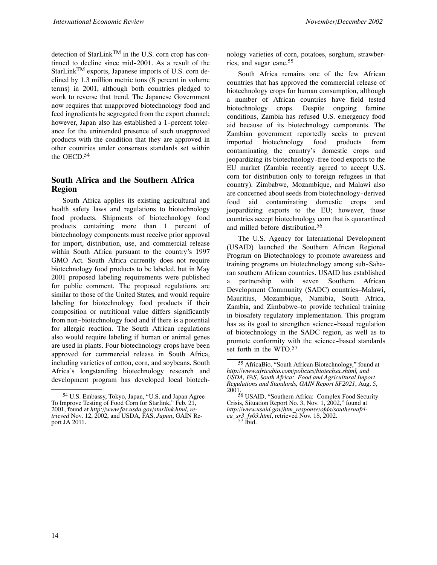detection of StarLinkTM in the U.S. corn crop has continued to decline since mid-2001. As a result of the StarLinkTM exports, Japanese imports of U.S. corn declined by 1.3 million metric tons (8 percent in volume terms) in 2001, although both countries pledged to work to reverse that trend. The Japanese Government now requires that unapproved biotechnology food and feed ingredients be segregated from the export channel; however, Japan also has established a 1-percent tolerance for the unintended presence of such unapproved products with the condition that they are approved in other countries under consensus standards set within the OECD.<sup>54</sup>

#### **South Africa and the Southern Africa Region**

South Africa applies its existing agricultural and health safety laws and regulations to biotechnology food products. Shipments of biotechnology food products containing more than 1 percent of biotechnology components must receive prior approval for import, distribution, use, and commercial release within South Africa pursuant to the country's 1997 GMO Act. South Africa currently does not require biotechnology food products to be labeled, but in May 2001 proposed labeling requirements were published for public comment. The proposed regulations are similar to those of the United States, and would require labeling for biotechnology food products if their composition or nutritional value differs significantly from non--biotechnology food and if there is a potential for allergic reaction. The South African regulations also would require labeling if human or animal genes are used in plants. Four biotechnology crops have been approved for commercial release in South Africa, including varieties of cotton, corn, and soybeans. South Africa's longstanding biotechnology research and development program has developed local biotech-

nology varieties of corn, potatoes, sorghum, strawberries, and sugar cane.<sup>55</sup>

South Africa remains one of the few African countries that has approved the commercial release of biotechnology crops for human consumption, although a number of African countries have field tested biotechnology crops. Despite ongoing famine conditions, Zambia has refused U.S. emergency food aid because of its biotechnology components. The Zambian government reportedly seeks to prevent imported biotechnology food products from contaminating the country's domestic crops and jeopardizing its biotechnology-free food exports to the EU market (Zambia recently agreed to accept U.S. corn for distribution only to foreign refugees in that country). Zimbabwe, Mozambique, and Malawi also are concerned about seeds from biotechnology-derived food aid contaminating domestic crops and jeopardizing exports to the EU; however, those countries accept biotechnology corn that is quarantined and milled before distribution.56

The U.S. Agency for International Development (USAID) launched the Southern African Regional Program on Biotechnology to promote awareness and training programs on biotechnology among sub-Saharan southern African countries. USAID has established a partnership with seven Southern African Development Community (SADC) countries–Malawi, Mauritius, Mozambique, Namibia, South Africa, Zambia, and Zimbabwe–to provide technical training in biosafety regulatory implementation. This program has as its goal to strengthen science-based regulation of biotechnology in the SADC region, as well as to promote conformity with the science-based standards set forth in the WTO.<sup>57</sup>

<sup>54</sup> U.S. Embassy, Tokyo, Japan, "U.S. and Japan Agree To Improve Testing of Food Corn for Starlink," Feb. 21, 2001, found at *http://www.fas.usda.gov/starlink.html, retrieved* Nov. 12, 2002, and USDA, FAS, *Japan*, GAIN Report JA 2011.

<sup>55</sup> AfricaBio, "South African Biotechnology," found at *http://www.africabio.com/policies/biotechsa.shtml, and USDA, FAS, South Africa: Food and Agricultural Import Regulations and Standards, GAIN Report SF2021*, Aug. 5, 2001.

<sup>56</sup> USAID, "Southern Africa: Complex Food Security Crisis, Situation Report No. 3, Nov. 1, 2002," found at *http://www.usaid.gov/htm\_response/ofda/southernafrica\_sr3\_fy03.html*, retrieved Nov. 18, 2002.<br><sup>57</sup> Ibid.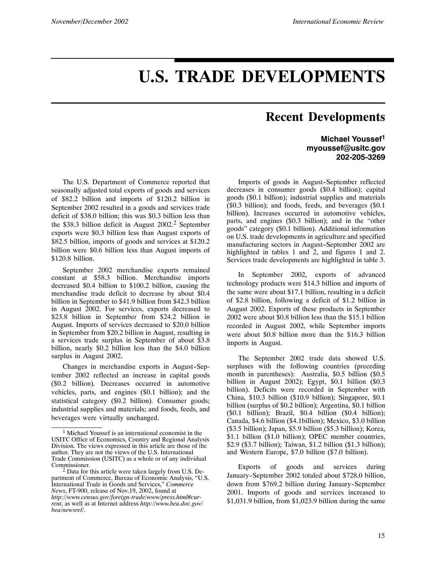# **U.S. TRADE DEVELOPMENTS**

## **Recent Developments**

**Michael Youssef1 myoussef@usitc.gov 202-205-3269**

The U.S. Department of Commerce reported that seasonally adjusted total exports of goods and services of \$82.2 billion and imports of \$120.2 billion in September 2002 resulted in a goods and services trade deficit of \$38.0 billion; this was \$0.3 billion less than the \$38.3 billion deficit in August 2002.<sup>2</sup> September exports were \$0.3 billion less than August exports of \$82.5 billion, imports of goods and services at \$120.2 billion were \$0.6 billion less than August imports of \$120.8 billion.

September 2002 merchandise exports remained constant at \$58.3 billion. Merchandise imports decreased \$0.4 billion to \$100.2 billion, causing the merchandise trade deficit to decrease by about \$0.4 billion in September to \$41.9 billion from \$42.3 billion in August 2002. For services, exports decreased to \$23.8 billion in September from \$24.2 billion in August. Imports of services decreased to \$20.0 billion in September from \$20.2 billion in August, resulting in a services trade surplus in September of about \$3.8 billion, nearly \$0.2 billion less than the \$4.0 billion surplus in August 2002.

Changes in merchandise exports in August-September 2002 reflected an increase in capital goods (\$0.2 billion). Decreases occurred in automotive vehicles, parts, and engines (\$0.1 billion); and the statistical category (\$0.2 billion). Consumer goods; industrial supplies and materials; and foods, feeds, and beverages were virtually unchanged.

Imports of goods in August-September reflected decreases in consumer goods (\$0.4 billion); capital goods (\$0.1 billion); industrial supplies and materials (\$0.3 billion); and foods, feeds, and beverages (\$0.1 billion). Increases occurred in automotive vehicles, parts, and engines (\$0.3 billion); and in the "other goods" category (\$0.1 billion). Additional information on U.S. trade developments in agriculture and specified manufacturing sectors in August-September 2002 are highlighted in tables 1 and 2, and figures 1 and 2. Services trade developments are highlighted in table 3.

In September 2002, exports of advanced technology products were \$14.3 billion and imports of the same were about \$17.1 billion, resulting in a deficit of \$2.8 billion, following a deficit of \$1.2 billion in August 2002. Exports of these products in September 2002 were about \$0.8 billion less than the \$15.1 billion recorded in August 2002, while September imports were about \$0.8 billion more than the \$16.3 billion imports in August.

The September 2002 trade data showed U.S. surpluses with the following countries (preceding month in parentheses): Australia, \$0.5 billion (\$0.5 billion in August 2002); Egypt, \$0.1 billion (\$0.3 billion). Deficits were recorded in September with China, \$10.3 billion (\$10.9 billion); Singapore, \$0.1 billion (surplus of \$0.2 billion); Argentina, \$0.1 billion (\$0.1 billion); Brazil, \$0.4 billion (\$0.4 billion); Canada, \$4.6 billion (\$4.1billion); Mexico, \$3.0 billion (\$3.5 billion); Japan, \$5.9 billion (\$5.3 billion); Korea, \$1.1 billion (\$1.0 billion); OPEC member countries, \$2.9 (\$3.7 billion); Taiwan, \$1.2 billion (\$1.3 billion); and Western Europe, \$7.0 billion (\$7.0 billion).

Exports of goods and services during January--September 2002 totaled about \$728.0 billion, down from \$769.2 billion during January-September 2001. Imports of goods and services increased to \$1,031.9 billion, from \$1,023.9 billion during the same

Michael Youssef is an international economist in the USITC Office of Economics, Country and Regional Analysis Division. The views expressed in this article are those of the author. They are not the views of the U.S. International Trade Commission (USITC) as a whole or of any individual Commissioner.

 $2$  Data for this article were taken largely from U.S. Department of Commerce, Bureau of Economic Analysis, "U.S. International Trade in Goods and Services," *Commerce News*, FT-900, release of Nov.19, 2002, found at *http://www.census.gov/foreign-trade/www/press.html#current*, as well as at Internet address *http://www.bea.doc.gov/ bea/newsrel/*.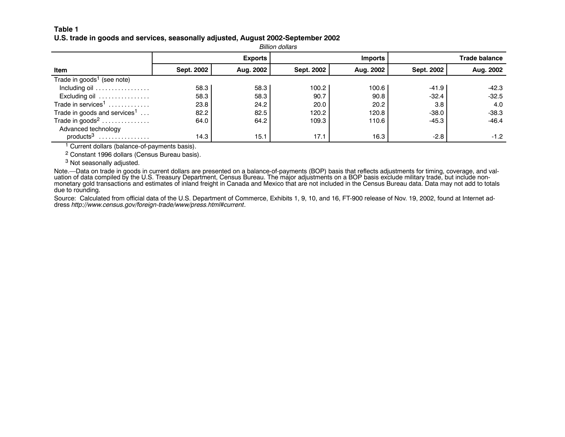#### **Table 1**U.S. trade in goods and services, seasonally adjusted, August 2002-September 2002

|                                          | <b>Billion dollars</b> |                |            |                |            |               |  |  |  |  |  |  |
|------------------------------------------|------------------------|----------------|------------|----------------|------------|---------------|--|--|--|--|--|--|
|                                          |                        | <b>Exports</b> |            | <b>Imports</b> |            | Trade balance |  |  |  |  |  |  |
| Item                                     | Sept. 2002             | Aug. 2002      | Sept. 2002 | Aug. 2002      | Sept. 2002 | Aug. 2002     |  |  |  |  |  |  |
| Trade in goods <sup>1</sup> (see note)   |                        |                |            |                |            |               |  |  |  |  |  |  |
| Including oil                            | 58.3                   | 58.3           | 100.2      | 100.6          | $-41.9$    | -42.3         |  |  |  |  |  |  |
| Excluding oil                            | 58.3                   | 58.3           | 90.7       | 90.8           | $-32.4$    | $-32.5$       |  |  |  |  |  |  |
| Trade in services <sup>1</sup>           | 23.8                   | 24.2           | 20.0       | 20.2           | 3.8        | 4.0           |  |  |  |  |  |  |
| Trade in goods and services <sup>1</sup> | 82.2                   | 82.5           | 120.2      | 120.8          | $-38.0$    | $-38.3$       |  |  |  |  |  |  |
| Trade in goods <sup>2</sup>              | 64.0                   | 64.2           | 109.3      | 110.6          | $-45.3$    | $-46.4$       |  |  |  |  |  |  |
| Advanced technology                      |                        |                |            |                |            |               |  |  |  |  |  |  |
| products <sup>3</sup><br>.               | 14.3                   | 15.1           | 17.1       | 16.3           | $-2.8$     | $-1.2$        |  |  |  |  |  |  |

<sup>1</sup> Current dollars (balance-of-payments basis).

2 Constant 1996 dollars (Census Bureau basis).

<sup>3</sup> Not seasonally adjusted.

Note.—Data on trade in goods in current dollars are presented on <sup>a</sup> balance-of-payments (BOP) basis that reflects adjustments for timing, coverage, and valuation of data compiled by the U.S. Treasury Department, Census Bureau. The major adjustments on <sup>a</sup> BOP basis exclude military trade, but include nonmonetary gold transactions and estimates of inland freight in Canada and Mexico that are not included in the Census Bureau data. Data may not add to totals due to rounding.

Source: Calculated from official data of the U.S. Department of Commerce, Exhibits 1, 9, 10, and 16, FT-900 release of Nov. 19, 2002, found at Internet address *http://www.census.gov/foreign-trade/www/press.html#current*.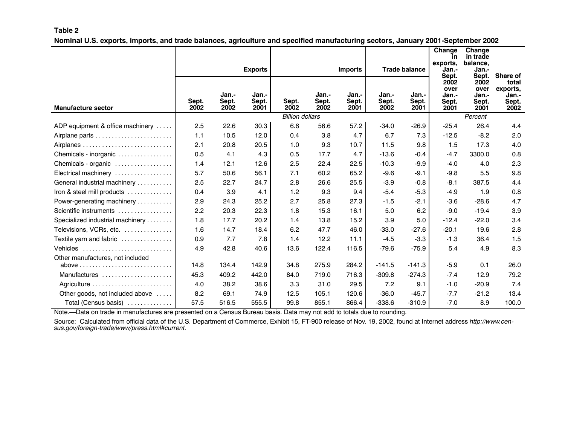#### **Table 2** Nominal U.S. exports, imports, and trade balances, agriculture and specified manufacturing sectors, January 2001-September 2002

|                                  |               |                        |                        |                        |                        |                        |                        |                        | Change<br><b>in</b><br>exports, | Change<br>in trade<br>balance. |                               |
|----------------------------------|---------------|------------------------|------------------------|------------------------|------------------------|------------------------|------------------------|------------------------|---------------------------------|--------------------------------|-------------------------------|
|                                  |               |                        | <b>Exports</b>         |                        |                        | <b>Imports</b>         |                        | <b>Trade balance</b>   | Jan.-<br>Sept.<br>2002<br>over  | Jan.-<br>Sept.<br>2002<br>over | Share of<br>total<br>exports, |
| <b>Manufacture sector</b>        | Sept.<br>2002 | Jan.-<br>Sept.<br>2002 | Jan.-<br>Sept.<br>2001 | Sept.<br>2002          | Jan.-<br>Sept.<br>2002 | Jan.-<br>Sept.<br>2001 | Jan.-<br>Sept.<br>2002 | Jan.-<br>Sept.<br>2001 | Jan.-<br>Sept.<br>2001          | Jan.-<br>Sept.<br>2001         | Jan.-<br>Sept.<br>2002        |
|                                  |               |                        |                        | <b>Billion dollars</b> |                        |                        |                        |                        |                                 | Percent                        |                               |
| ADP equipment & office machinery | 2.5           | 22.6                   | 30.3                   | 6.6                    | 56.6                   | 57.2                   | $-34.0$                | $-26.9$                | $-25.4$                         | 26.4                           | 4.4                           |
| Airplane parts                   | 1.1           | 10.5                   | 12.0                   | 0.4                    | 3.8                    | 4.7                    | 6.7                    | 7.3                    | $-12.5$                         | $-8.2$                         | 2.0                           |
|                                  | 2.1           | 20.8                   | 20.5                   | 1.0                    | 9.3                    | 10.7                   | 11.5                   | 9.8                    | 1.5                             | 17.3                           | 4.0                           |
| Chemicals - inorganic            | 0.5           | 4.1                    | 4.3                    | 0.5                    | 17.7                   | 4.7                    | $-13.6$                | $-0.4$                 | $-4.7$                          | 3300.0                         | 0.8                           |
| Chemicals - organic              | 1.4           | 12.1                   | 12.6                   | 2.5                    | 22.4                   | 22.5                   | $-10.3$                | $-9.9$                 | $-4.0$                          | 4.0                            | 2.3                           |
| Electrical machinery             | 5.7           | 50.6                   | 56.1                   | 7.1                    | 60.2                   | 65.2                   | $-9.6$                 | $-9.1$                 | $-9.8$                          | 5.5                            | 9.8                           |
| General industrial machinery     | 2.5           | 22.7                   | 24.7                   | 2.8                    | 26.6                   | 25.5                   | $-3.9$                 | $-0.8$                 | $-8.1$                          | 387.5                          | 4.4                           |
| Iron & steel mill products       | 0.4           | 3.9                    | 4.1                    | 1.2                    | 9.3                    | 9.4                    | $-5.4$                 | $-5.3$                 | $-4.9$                          | 1.9                            | 0.8                           |
| Power-generating machinery       | 2.9           | 24.3                   | 25.2                   | 2.7                    | 25.8                   | 27.3                   | $-1.5$                 | $-2.1$                 | $-3.6$                          | $-28.6$                        | 4.7                           |
| Scientific instruments           | 2.2           | 20.3                   | 22.3                   | 1.8                    | 15.3                   | 16.1                   | 5.0                    | 6.2                    | $-9.0$                          | $-19.4$                        | 3.9                           |
| Specialized industrial machinery | 1.8           | 17.7                   | 20.2                   | 1.4                    | 13.8                   | 15.2                   | 3.9                    | 5.0                    | $-12.4$                         | $-22.0$                        | 3.4                           |
| Televisions, VCRs, etc.          | 1.6           | 14.7                   | 18.4                   | 6.2                    | 47.7                   | 46.0                   | $-33.0$                | $-27.6$                | $-20.1$                         | 19.6                           | 2.8                           |
| Textile yarn and fabric          | 0.9           | 7.7                    | 7.8                    | 1.4                    | 12.2                   | 11.1                   | $-4.5$                 | $-3.3$                 | $-1.3$                          | 36.4                           | 1.5                           |
| Vehicles                         | 4.9           | 42.8                   | 40.6                   | 13.6                   | 122.4                  | 116.5                  | $-79.6$                | $-75.9$                | 5.4                             | 4.9                            | 8.3                           |
| Other manufactures, not included |               |                        |                        |                        |                        |                        |                        |                        |                                 |                                |                               |
|                                  | 14.8          | 134.4                  | 142.9                  | 34.8                   | 275.9                  | 284.2                  | $-141.5$               | $-141.3$               | $-5.9$                          | 0.1                            | 26.0                          |
| Manufactures                     | 45.3          | 409.2                  | 442.0                  | 84.0                   | 719.0                  | 716.3                  | $-309.8$               | $-274.3$               | $-7.4$                          | 12.9                           | 79.2                          |
|                                  | 4.0           | 38.2                   | 38.6                   | 3.3                    | 31.0                   | 29.5                   | 7.2                    | 9.1                    | $-1.0$                          | $-20.9$                        | 7.4                           |
| Other goods, not included above  | 8.2           | 69.1                   | 74.9                   | 12.5                   | 105.1                  | 120.6                  | $-36.0$                | $-45.7$                | $-7.7$                          | $-21.2$                        | 13.4                          |
| Total (Census basis)             | 57.5          | 516.5                  | 555.5                  | 99.8                   | 855.1                  | 866.4                  | $-338.6$               | $-310.9$               | $-7.0$                          | 8.9                            | 100.0                         |

Note.—Data on trade in manufactures are presented on <sup>a</sup> Census Bureau basis. Data may not add to totals due to rounding.

Source: Calculated from official data of the U.S. Department of Commerce, Exhibit 15, FT-900 release of Nov. 19, 2002, found at Internet address *http://www.census.gov/foreign-trade/www/press.html#current.*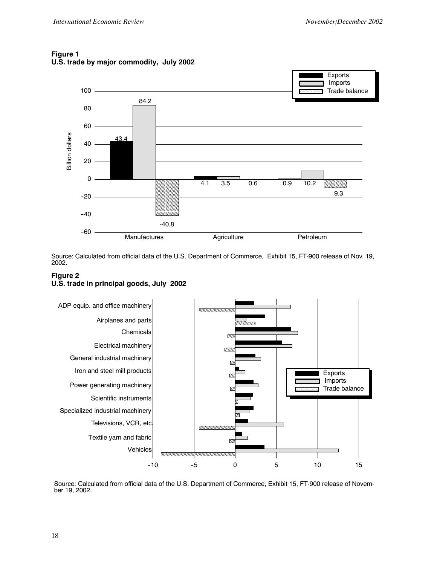

#### **Figure 1 U.S. trade by major commodity, July 2002**

Source: Calculated from official data of the U.S. Department of Commerce, Exhibit 15, FT-900 release of Nov. 19, 2002.

#### **Figure 2 U.S. trade in principal goods, July 2002**



Source: Calculated from official data of the U.S. Department of Commerce, Exhibit 15, FT-900 release of November 19, 2002.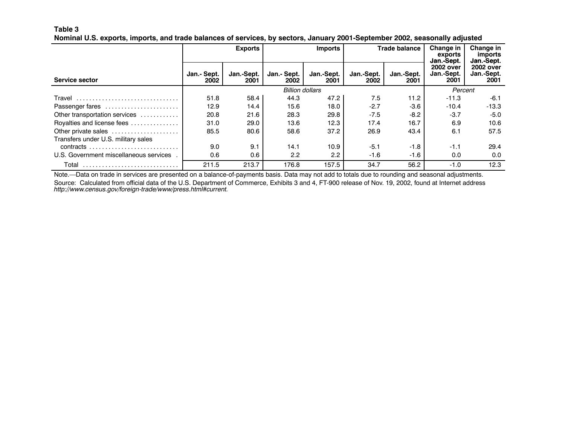#### **Table 3**

|  | Nominal U.S. exports, imports, and trade balances of services, by sectors, January 2001-September 2002, seasonally adjusted |  |  |  |  |
|--|-----------------------------------------------------------------------------------------------------------------------------|--|--|--|--|
|  |                                                                                                                             |  |  |  |  |

|                                        |                        | <b>Exports</b>     |                     | <b>Trade balance</b><br><b>Imports</b> |                    | Change in<br>exports<br>Jan.-Sept. | Change in<br><i>imports</i><br>Jan.-Sept. |                                        |
|----------------------------------------|------------------------|--------------------|---------------------|----------------------------------------|--------------------|------------------------------------|-------------------------------------------|----------------------------------------|
| Service sector                         | Jan.- Sept.<br>2002    | Jan.-Sept.<br>2001 | Jan.- Sept.<br>2002 | Jan.-Sept.<br>2001                     | Jan.-Sept.<br>2002 | Jan.-Sept.<br>2001                 | 2002 over<br>Jan.-Sept.<br>2001           | <b>2002 over</b><br>Jan.-Sept.<br>2001 |
|                                        | <b>Billion dollars</b> |                    |                     |                                        |                    |                                    | Percent                                   |                                        |
| Travel                                 | 51.8                   | 58.4               | 44.3                | 47.2                                   | 7.5                | 11.2                               | $-11.3$                                   | $-6.1$                                 |
| Passenger fares                        | 12.9                   | 14.4               | 15.6                | 18.0                                   | $-2.7$             | $-3.6$                             | $-10.4$                                   | $-13.3$                                |
| Other transportation services          | 20.8                   | 21.6               | 28.3                | 29.8                                   | $-7.5$             | $-8.2$                             | $-3.7$                                    | $-5.0$                                 |
| Royalties and license fees             | 31.0                   | 29.0               | 13.6                | 12.3                                   | 17.4               | 16.7                               | 6.9                                       | 10.6                                   |
| Other private sales                    | 85.5                   | 80.6               | 58.6                | 37.2                                   | 26.9               | 43.4                               | 6.1                                       | 57.5                                   |
| Transfers under U.S. military sales    |                        |                    |                     |                                        |                    |                                    |                                           |                                        |
|                                        | 9.0                    | 9.1                | 14.1                | 10.9                                   | $-5.1$             | $-1.8$                             | $-1.1$                                    | 29.4                                   |
| U.S. Government miscellaneous services | 0.6                    | 0.6                | 2.2                 | 2.2                                    | $-1.6$             | $-1.6$                             | 0.0                                       | 0.0                                    |
| Total                                  | 211.5                  | 213.7              | 176.8               | 157.5                                  | 34.7               | 56.2                               | $-1.0$                                    | 12.3                                   |

Note.—Data on trade in services are presented on <sup>a</sup> balance-of-payments basis. Data may not add to totals due to rounding and seasonal adjustments. Source: Calculated from official data of the U.S. Department of Commerce, Exhibits 3 and 4, FT-900 release of Nov. 19, 2002, found at Internet address *http://www.census.gov/foreign-trade/www/press.html#current.*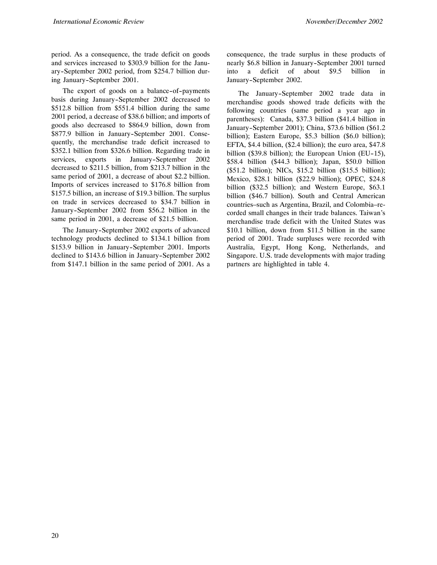period. As a consequence, the trade deficit on goods and services increased to \$303.9 billion for the January--September 2002 period, from \$254.7 billion during January-September 2001.

The export of goods on a balance-of-payments basis during January-September 2002 decreased to \$512.8 billion from \$551.4 billion during the same 2001 period, a decrease of \$38.6 billion; and imports of goods also decreased to \$864.9 billion, down from \$877.9 billion in January-September 2001. Consequently, the merchandise trade deficit increased to \$352.1 billion from \$326.6 billion. Regarding trade in services, exports in January-September 2002 decreased to \$211.5 billion, from \$213.7 billion in the same period of 2001, a decrease of about \$2.2 billion. Imports of services increased to \$176.8 billion from \$157.5 billion, an increase of \$19.3 billion. The surplus on trade in services decreased to \$34.7 billion in January--September 2002 from \$56.2 billion in the same period in 2001, a decrease of \$21.5 billion.

The January-September 2002 exports of advanced technology products declined to \$134.1 billion from \$153.9 billion in January-September 2001. Imports declined to \$143.6 billion in January-September 2002 from \$147.1 billion in the same period of 2001. As a

consequence, the trade surplus in these products of nearly \$6.8 billion in January-September 2001 turned into a deficit of about \$9.5 billion in January-September 2002.

The January-September 2002 trade data in merchandise goods showed trade deficits with the following countries (same period a year ago in parentheses): Canada, \$37.3 billion (\$41.4 billion in January--September 2001); China, \$73.6 billion (\$61.2 billion); Eastern Europe, \$5.3 billion (\$6.0 billion); EFTA, \$4.4 billion, (\$2.4 billion); the euro area, \$47.8 billion (\$39.8 billion); the European Union (EU-15), \$58.4 billion (\$44.3 billion); Japan, \$50.0 billion (\$51.2 billion); NICs, \$15.2 billion (\$15.5 billion); Mexico, \$28.1 billion (\$22.9 billion); OPEC, \$24.8 billion (\$32.5 billion); and Western Europe, \$63.1 billion (\$46.7 billion). South and Central American countries–such as Argentina, Brazil, and Colombia–recorded small changes in their trade balances. Taiwan's merchandise trade deficit with the United States was \$10.1 billion, down from \$11.5 billion in the same period of 2001. Trade surpluses were recorded with Australia, Egypt, Hong Kong, Netherlands, and Singapore. U.S. trade developments with major trading partners are highlighted in table 4.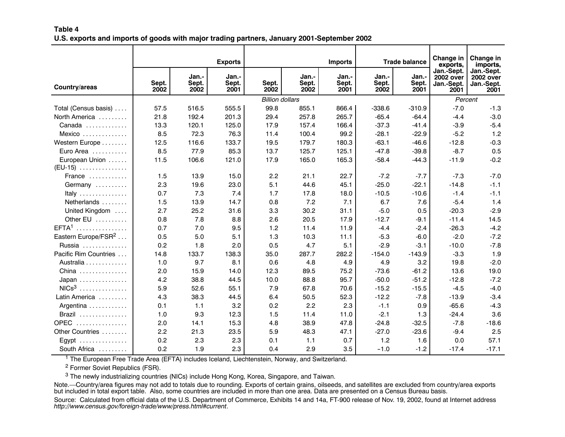#### **Table 4**U.S. exports and imports of goods with major trading partners, January 2001-September 2002

|                                 |               |                        | <b>Exports</b>         |                        |                        | <b>Imports</b>         |                        | <b>Trade balance</b>   | Change in<br>exports,                                | Change in<br>imports,                                |
|---------------------------------|---------------|------------------------|------------------------|------------------------|------------------------|------------------------|------------------------|------------------------|------------------------------------------------------|------------------------------------------------------|
| Country/areas                   | Sept.<br>2002 | Jan.-<br>Sept.<br>2002 | Jan.-<br>Sept.<br>2001 | Sept.<br>2002          | Jan.-<br>Sept.<br>2002 | Jan.-<br>Sept.<br>2001 | Jan.-<br>Sept.<br>2002 | Jan.-<br>Sept.<br>2001 | Jan.-Sept.<br><b>2002 over</b><br>Jan.-Sept.<br>2001 | Jan.-Sept.<br><b>2002 over</b><br>Jan.-Sept.<br>2001 |
|                                 |               |                        |                        | <b>Billion dollars</b> |                        |                        |                        |                        |                                                      | Percent                                              |
| Total (Census basis)            | 57.5          | 516.5                  | 555.5                  | 99.8                   | 855.1                  | 866.4                  | $-338.6$               | $-310.9$               | $-7.0$                                               | $-1.3$                                               |
| North America                   | 21.8          | 192.4                  | 201.3                  | 29.4                   | 257.8                  | 265.7                  | $-65.4$                | $-64.4$                | $-4.4$                                               | $-3.0$                                               |
| Canada                          | 13.3          | 120.1                  | 125.0                  | 17.9                   | 157.4                  | 166.4                  | $-37.3$                | $-41.4$                | $-3.9$                                               | $-5.4$                                               |
| Mexico                          | 8.5           | 72.3                   | 76.3                   | 11.4                   | 100.4                  | 99.2                   | $-28.1$                | $-22.9$                | $-5.2$                                               | 1.2                                                  |
| Western Europe                  | 12.5          | 116.6                  | 133.7                  | 19.5                   | 179.7                  | 180.3                  | $-63.1$                | $-46.6$                | $-12.8$                                              | $-0.3$                                               |
| Euro Area                       | 8.5           | 77.9                   | 85.3                   | 13.7                   | 125.7                  | 125.1                  | $-47.8$                | $-39.8$                | $-8.7$                                               | 0.5                                                  |
| European Union                  | 11.5          | 106.6                  | 121.0                  | 17.9                   | 165.0                  | 165.3                  | $-58.4$                | $-44.3$                | $-11.9$                                              | $-0.2$                                               |
| (EU-15)                         |               |                        |                        |                        |                        |                        |                        |                        |                                                      |                                                      |
| France                          | 1.5           | 13.9                   | 15.0                   | 2.2                    | 21.1                   | 22.7                   | $-7.2$                 | $-7.7$                 | $-7.3$                                               | $-7.0$                                               |
| Germany                         | 2.3           | 19.6                   | 23.0                   | 5.1                    | 44.6                   | 45.1                   | $-25.0$                | $-22.1$                | $-14.8$                                              | $-1.1$                                               |
| Italy                           | 0.7           | 7.3                    | 7.4                    | 1.7                    | 17.8                   | 18.0                   | $-10.5$                | $-10.6$                | $-1.4$                                               | $-1.1$                                               |
| Netherlands                     | 1.5           | 13.9                   | 14.7                   | 0.8                    | 7.2                    | 7.1                    | 6.7                    | 7.6                    | $-5.4$                                               | 1.4                                                  |
| United Kingdom                  | 2.7           | 25.2                   | 31.6                   | 3.3                    | 30.2                   | 31.1                   | $-5.0$                 | 0.5                    | $-20.3$                                              | $-2.9$                                               |
| Other EU                        | 0.8           | 7.8                    | 8.8                    | 2.6                    | 20.5                   | 17.9                   | $-12.7$                | $-9.1$                 | $-11.4$                                              | 14.5                                                 |
| EFTA <sup>1</sup><br>.          | 0.7           | 7.0                    | 9.5                    | 1.2                    | 11.4                   | 11.9                   | $-4.4$                 | $-2.4$                 | $-26.3$                                              | $-4.2$                                               |
| Eastern Europe/FSR <sup>2</sup> | 0.5           | 5.0                    | 5.1                    | 1.3                    | 10.3                   | 11.1                   | $-5.3$                 | $-6.0$                 | $-2.0$                                               | $-7.2$                                               |
| Russia                          | 0.2           | 1.8                    | 2.0                    | 0.5                    | 4.7                    | 5.1                    | $-2.9$                 | $-3.1$                 | $-10.0$                                              | $-7.8$                                               |
| Pacific Rim Countries           | 14.8          | 133.7                  | 138.3                  | 35.0                   | 287.7                  | 282.2                  | $-154.0$               | $-143.9$               | $-3.3$                                               | 1.9                                                  |
| Australia                       | 1.0           | 9.7                    | 8.1                    | 0.6                    | 4.8                    | 4.9                    | 4.9                    | 3.2                    | 19.8                                                 | $-2.0$                                               |
| China                           | 2.0           | 15.9                   | 14.0                   | 12.3                   | 89.5                   | 75.2                   | $-73.6$                | $-61.2$                | 13.6                                                 | 19.0                                                 |
| Japan                           | 4.2           | 38.8                   | 44.5                   | 10.0                   | 88.8                   | 95.7                   | $-50.0$                | $-51.2$                | $-12.8$                                              | $-7.2$                                               |
| $NICs3$                         | 5.9           | 52.6                   | 55.1                   | 7.9                    | 67.8                   | 70.6                   | $-15.2$                | $-15.5$                | $-4.5$                                               | $-4.0$                                               |
| Latin America                   | 4.3           | 38.3                   | 44.5                   | 6.4                    | 50.5                   | 52.3                   | $-12.2$                | $-7.8$                 | $-13.9$                                              | $-3.4$                                               |
| Argentina                       | 0.1           | 1.1                    | 3.2                    | 0.2                    | 2.2                    | 2.3                    | $-1.1$                 | 0.9                    | $-65.6$                                              | $-4.3$                                               |
| Brazil                          | 1.0           | 9.3                    | 12.3                   | 1.5                    | 11.4                   | 11.0                   | $-2.1$                 | 1.3                    | $-24.4$                                              | 3.6                                                  |
| <b>OPEC</b><br>.                | 2.0           | 14.1                   | 15.3                   | 4.8                    | 38.9                   | 47.8                   | $-24.8$                | $-32.5$                | $-7.8$                                               | $-18.6$                                              |
| Other Countries                 | 2.2           | 21.3                   | 23.5                   | 5.9                    | 48.3                   | 47.1                   | $-27.0$                | $-23.6$                | $-9.4$                                               | 2.5                                                  |
| Egypt                           | 0.2           | 2.3                    | 2.3                    | 0.1                    | 1.1                    | 0.7                    | 1.2                    | 1.6                    | 0.0                                                  | 57.1                                                 |
| South Africa                    | 0.2           | 1.9                    | 2.3                    | 0.4                    | 2.9                    | 3.5                    | $-1.0$                 | $-1.2$                 | $-17.4$                                              | $-17.1$                                              |

<sup>1</sup> The European Free Trade Area (EFTA) includes Iceland, Liechtenstein, Norway, and Switzerland.

<sup>2</sup> Former Soviet Republics (FSR).

 $^3$  The newly industrializing countries (NICs) include Hong Kong, Korea, Singapore, and Taiwan.

Note.—Country/area figures may not add to totals due to rounding. Exports of certain grains, oilseeds, and satellites are excluded from country/area exports but included in total export table. Also, some countries are included in more than one area. Data are presented on <sup>a</sup> Census Bureau basis.

Source: Calculated from official data of the U.S. Department of Commerce, Exhibits 14 and 14a, FT-900 release of Nov. 19, 2002, found at Internet address *http://www.census.gov/foreign-trade/www/press.html#current*.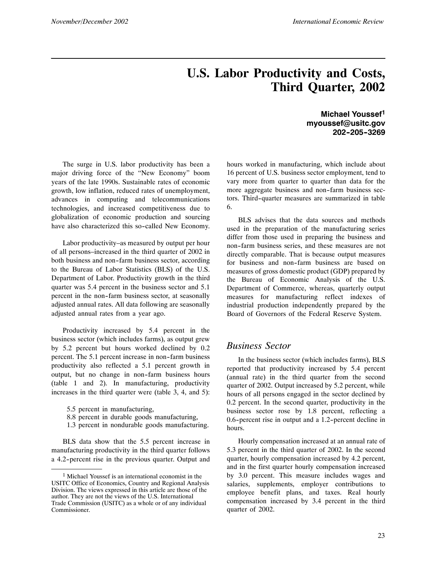## **U.S. Labor Productivity and Costs, Third Quarter, 2002**

The surge in U.S. labor productivity has been a major driving force of the "New Economy" boom years of the late 1990s. Sustainable rates of economic growth, low inflation, reduced rates of unemployment, advances in computing and telecommunications technologies, and increased competitiveness due to globalization of economic production and sourcing have also characterized this so-called New Economy.

Labor productivity–as measured by output per hour of all persons–increased in the third quarter of 2002 in both business and non-farm business sector, according to the Bureau of Labor Statistics (BLS) of the U.S. Department of Labor. Productivity growth in the third quarter was 5.4 percent in the business sector and 5.1 percent in the non-farm business sector, at seasonally adjusted annual rates. All data following are seasonally adjusted annual rates from a year ago.

Productivity increased by 5.4 percent in the business sector (which includes farms), as output grew by 5.2 percent but hours worked declined by 0.2 percent. The 5.1 percent increase in non-farm business productivity also reflected a 5.1 percent growth in output, but no change in non-farm business hours (table 1 and 2). In manufacturing, productivity increases in the third quarter were (table 3, 4, and 5):

- 8.8 percent in durable goods manufacturing,
- 1.3 percent in nondurable goods manufacturing.

BLS data show that the 5.5 percent increase in manufacturing productivity in the third quarter follows a 4.2-percent rise in the previous quarter. Output and

**Michael Youssef1 myoussef@usitc.gov 202--205--3269**

hours worked in manufacturing, which include about 16 percent of U.S. business sector employment, tend to vary more from quarter to quarter than data for the more aggregate business and non-farm business sectors. Third--quarter measures are summarized in table 6.

BLS advises that the data sources and methods used in the preparation of the manufacturing series differ from those used in preparing the business and non--farm business series, and these measures are not directly comparable. That is because output measures for business and non-farm business are based on measures of gross domestic product (GDP) prepared by the Bureau of Economic Analysis of the U.S. Department of Commerce, whereas, quarterly output measures for manufacturing reflect indexes of industrial production independently prepared by the Board of Governors of the Federal Reserve System.

#### *Business Sector*

In the business sector (which includes farms), BLS reported that productivity increased by 5.4 percent (annual rate) in the third quarter from the second quarter of 2002. Output increased by 5.2 percent, while hours of all persons engaged in the sector declined by 0.2 percent. In the second quarter, productivity in the business sector rose by 1.8 percent, reflecting a 0.6-percent rise in output and a 1.2-percent decline in hours.

Hourly compensation increased at an annual rate of 5.3 percent in the third quarter of 2002. In the second quarter, hourly compensation increased by 4.2 percent, and in the first quarter hourly compensation increased by 3.0 percent. This measure includes wages and salaries, supplements, employer contributions to employee benefit plans, and taxes. Real hourly compensation increased by 3.4 percent in the third quarter of 2002.

<sup>5.5</sup> percent in manufacturing,

<sup>1</sup> Michael Youssef is an international economist in the USITC Office of Economics, Country and Regional Analysis Division. The views expressed in this article are those of the author. They are not the views of the U.S. International Trade Commission (USITC) as a whole or of any individual Commissioner.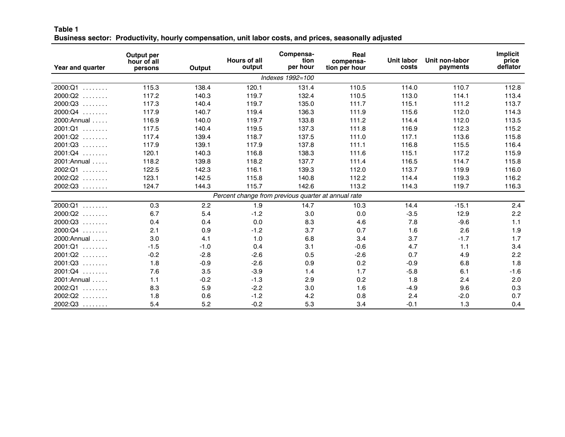#### **Table 1** Business sector: Productivity, hourly compensation, unit labor costs, and prices, seasonally adjusted

| Year and quarter | Output per<br>hour of all<br>persons | Output | <b>Hours of all</b><br>output                       | Compensa-<br>tion<br>per hour | Real<br>compensa-<br>tion per hour | <b>Unit labor</b><br>costs | Unit non-labor<br>payments | <b>Implicit</b><br>price<br>deflator |
|------------------|--------------------------------------|--------|-----------------------------------------------------|-------------------------------|------------------------------------|----------------------------|----------------------------|--------------------------------------|
|                  |                                      |        |                                                     | Indexes 1992=100              |                                    |                            |                            |                                      |
| 2000:Q1          | 115.3                                | 138.4  | 120.1                                               | 131.4                         | 110.5                              | 114.0                      | 110.7                      | 112.8                                |
| $2000:Q2$        | 117.2                                | 140.3  | 119.7                                               | 132.4                         | 110.5                              | 113.0                      | 114.1                      | 113.4                                |
| $2000:Q3$        | 117.3                                | 140.4  | 119.7                                               | 135.0                         | 111.7                              | 115.1                      | 111.2                      | 113.7                                |
| $2000:Q4$        | 117.9                                | 140.7  | 119.4                                               | 136.3                         | 111.9                              | 115.6                      | 112.0                      | 114.3                                |
| 2000: Annual     | 116.9                                | 140.0  | 119.7                                               | 133.8                         | 111.2                              | 114.4                      | 112.0                      | 113.5                                |
| $2001:Q1$        | 117.5                                | 140.4  | 119.5                                               | 137.3                         | 111.8                              | 116.9                      | 112.3                      | 115.2                                |
| $2001:Q2$        | 117.4                                | 139.4  | 118.7                                               | 137.5                         | 111.0                              | 117.1                      | 113.6                      | 115.8                                |
| $2001:Q3$        | 117.9                                | 139.1  | 117.9                                               | 137.8                         | 111.1                              | 116.8                      | 115.5                      | 116.4                                |
| $2001:Q4$        | 120.1                                | 140.3  | 116.8                                               | 138.3                         | 111.6                              | 115.1                      | 117.2                      | 115.9                                |
| 2001: Annual     | 118.2                                | 139.8  | 118.2                                               | 137.7                         | 111.4                              | 116.5                      | 114.7                      | 115.8                                |
| 2002:Q1          | 122.5                                | 142.3  | 116.1                                               | 139.3                         | 112.0                              | 113.7                      | 119.9                      | 116.0                                |
| $2002:Q2$        | 123.1                                | 142.5  | 115.8                                               | 140.8                         | 112.2                              | 114.4                      | 119.3                      | 116.2                                |
| $2002:Q3$        | 124.7                                | 144.3  | 115.7                                               | 142.6                         | 113.2                              | 114.3                      | 119.7                      | 116.3                                |
|                  |                                      |        | Percent change from previous quarter at annual rate |                               |                                    |                            |                            |                                      |
| 2000:Q1          | 0.3                                  | 2.2    | 1.9                                                 | 14.7                          | 10.3                               | 14.4                       | $-15.1$                    | 2.4                                  |
| $2000:Q2$        | 6.7                                  | 5.4    | $-1.2$                                              | 3.0                           | 0.0                                | $-3.5$                     | 12.9                       | 2.2                                  |
| $2000:Q3$        | 0.4                                  | 0.4    | 0.0                                                 | 8.3                           | 4.6                                | 7.8                        | $-9.6$                     | 1.1                                  |
| $2000:Q4$        | 2.1                                  | 0.9    | $-1.2$                                              | 3.7                           | 0.7                                | 1.6                        | 2.6                        | 1.9                                  |
| 2000: Annual     | 3.0                                  | 4.1    | 1.0                                                 | 6.8                           | 3.4                                | 3.7                        | $-1.7$                     | 1.7                                  |
| $2001:Q1$        | $-1.5$                               | $-1.0$ | 0.4                                                 | 3.1                           | $-0.6$                             | 4.7                        | 1.1                        | 3.4                                  |
| $2001:Q2$        | $-0.2$                               | $-2.8$ | $-2.6$                                              | 0.5                           | $-2.6$                             | 0.7                        | 4.9                        | 2.2                                  |
| $2001:Q3$        | 1.8                                  | $-0.9$ | $-2.6$                                              | 0.9                           | 0.2                                | $-0.9$                     | 6.8                        | 1.8                                  |
| $2001:Q4$        | 7.6                                  | 3.5    | $-3.9$                                              | 1.4                           | 1.7                                | $-5.8$                     | 6.1                        | $-1.6$                               |
| 2001: Annual     | 1.1                                  | $-0.2$ | $-1.3$                                              | 2.9                           | 0.2                                | 1.8                        | 2.4                        | 2.0                                  |
| $2002:Q1$        | 8.3                                  | 5.9    | $-2.2$                                              | 3.0                           | 1.6                                | $-4.9$                     | 9.6                        | 0.3                                  |
| $2002:Q2$        | 1.8                                  | 0.6    | $-1.2$                                              | 4.2                           | 0.8                                | 2.4                        | $-2.0$                     | 0.7                                  |
| $2002:Q3$        | 5.4                                  | 5.2    | $-0.2$                                              | 5.3                           | 3.4                                | $-0.1$                     | 1.3                        | 0.4                                  |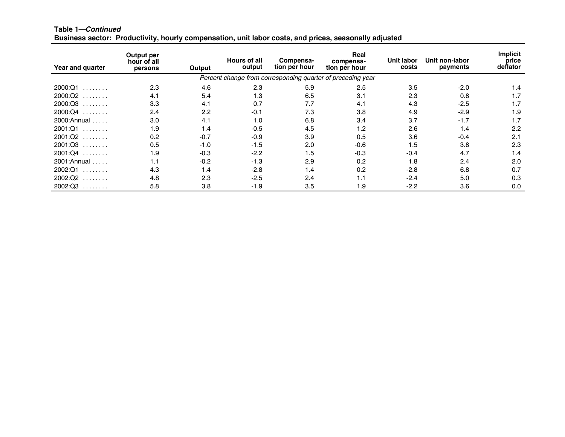| Table 1-Continued |                                                                                                       |  |  |  |
|-------------------|-------------------------------------------------------------------------------------------------------|--|--|--|
|                   | Business sector: Productivity, hourly compensation, unit labor costs, and prices, seasonally adjusted |  |  |  |

| Year and quarter                                                                     | Output per<br>hour of all<br>persons | Output | <b>Hours of all</b><br>output | Compensa-<br>tion per hour | Real<br>compensa-<br>tion per hour                          | <b>Unit labor</b><br>costs | Unit non-labor<br>payments | <b>Implicit</b><br>price<br>deflator |
|--------------------------------------------------------------------------------------|--------------------------------------|--------|-------------------------------|----------------------------|-------------------------------------------------------------|----------------------------|----------------------------|--------------------------------------|
|                                                                                      |                                      |        |                               |                            | Percent change from corresponding quarter of preceding year |                            |                            |                                      |
| 2000:Q1<br>$\begin{array}{cccccccccccccc} . & . & . & . & . & . & . & . \end{array}$ | 2.3                                  | 4.6    | 2.3                           | 5.9                        | 2.5                                                         | 3.5                        | $-2.0$                     | 1.4                                  |
| 2000:Q2<br>.                                                                         | 4.1                                  | 5.4    | 1.3                           | 6.5                        | 3.1                                                         | 2.3                        | 0.8                        | 1.7                                  |
| 2000:Q3<br>.                                                                         | 3.3                                  | 4.1    | 0.7                           | 7.7                        | 4.1                                                         | 4.3                        | $-2.5$                     | 1.7                                  |
| 2000:Q4<br>.                                                                         | 2.4                                  | 2.2    | $-0.1$                        | 7.3                        | 3.8                                                         | 4.9                        | $-2.9$                     | 1.9                                  |
| $2000:$ Annual                                                                       | 3.0                                  | 4.1    | 1.0                           | 6.8                        | 3.4                                                         | 3.7                        | $-1.7$                     | 1.7                                  |
| 2001:Q1<br>1.1.1.1.1.1.1                                                             | 1.9                                  | 1.4    | $-0.5$                        | 4.5                        | 1.2                                                         | 2.6                        | 1.4                        | 2.2                                  |
| $2001:Q2$                                                                            | 0.2                                  | $-0.7$ | $-0.9$                        | 3.9                        | 0.5                                                         | 3.6                        | $-0.4$                     | 2.1                                  |
| $2001:Q3$                                                                            | 0.5                                  | $-1.0$ | $-1.5$                        | 2.0                        | $-0.6$                                                      | 1.5                        | 3.8                        | 2.3                                  |
| $2001:Q4$                                                                            | 1.9                                  | $-0.3$ | $-2.2$                        | 1.5                        | $-0.3$                                                      | $-0.4$                     | 4.7                        | 1.4                                  |
| $2001:$ Annual                                                                       | 1.1                                  | $-0.2$ | $-1.3$                        | 2.9                        | 0.2                                                         | 1.8                        | 2.4                        | 2.0                                  |
| 2002:Q1<br>.                                                                         | 4.3                                  | 1.4    | $-2.8$                        | 1.4                        | 0.2                                                         | $-2.8$                     | 6.8                        | 0.7                                  |
| 2002:Q2<br>.                                                                         | 4.8                                  | 2.3    | $-2.5$                        | 2.4                        | 1.1                                                         | $-2.4$                     | 5.0                        | 0.3                                  |
| 2002:Q3                                                                              | 5.8                                  | 3.8    | $-1.9$                        | 3.5                        | 1.9                                                         | $-2.2$                     | 3.6                        | 0.0                                  |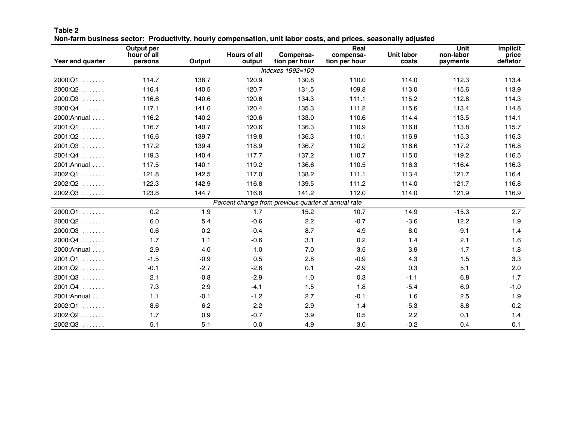| Table 2                                                                                                        |  |  |  |
|----------------------------------------------------------------------------------------------------------------|--|--|--|
| Non-farm business sector: Productivity, hourly compensation, unit labor costs, and prices, seasonally adjusted |  |  |  |

|                  | Output per             |        |                               |                                                     | Real                       |                            | <b>Unit</b>           | Implicit          |
|------------------|------------------------|--------|-------------------------------|-----------------------------------------------------|----------------------------|----------------------------|-----------------------|-------------------|
| Year and quarter | hour of all<br>persons | Output | <b>Hours of all</b><br>output | Compensa-<br>tion per hour                          | compensa-<br>tion per hour | <b>Unit labor</b><br>costs | non-labor<br>payments | price<br>deflator |
|                  |                        |        |                               | Indexes 1992=100                                    |                            |                            |                       |                   |
| $2000:Q1$        | 114.7                  | 138.7  | 120.9                         | 130.8                                               | 110.0                      | 114.0                      | 112.3                 | 113.4             |
| $2000:Q2$        | 116.4                  | 140.5  | 120.7                         | 131.5                                               | 109.8                      | 113.0                      | 115.6                 | 113.9             |
| $2000:Q3$        | 116.6                  | 140.6  | 120.6                         | 134.3                                               | 111.1                      | 115.2                      | 112.8                 | 114.3             |
| $2000:Q4$        | 117.1                  | 141.0  | 120.4                         | 135.3                                               | 111.2                      | 115.6                      | 113.4                 | 114.8             |
| 2000: Annual     | 116.2                  | 140.2  | 120.6                         | 133.0                                               | 110.6                      | 114.4                      | 113.5                 | 114.1             |
| $2001:Q1$        | 116.7                  | 140.7  | 120.6                         | 136.3                                               | 110.9                      | 116.8                      | 113.8                 | 115.7             |
| $2001:Q2$        | 116.6                  | 139.7  | 119.8                         | 136.3                                               | 110.1                      | 116.9                      | 115.3                 | 116.3             |
| $2001:Q3$        | 117.2                  | 139.4  | 118.9                         | 136.7                                               | 110.2                      | 116.6                      | 117.2                 | 116.8             |
| $2001:Q4$        | 119.3                  | 140.4  | 117.7                         | 137.2                                               | 110.7                      | 115.0                      | 119.2                 | 116.5             |
| 2001: Annual     | 117.5                  | 140.1  | 119.2                         | 136.6                                               | 110.5                      | 116.3                      | 116.4                 | 116.3             |
| $2002:Q1$        | 121.8                  | 142.5  | 117.0                         | 138.2                                               | 111.1                      | 113.4                      | 121.7                 | 116.4             |
| $2002:Q2$        | 122.3                  | 142.9  | 116.8                         | 139.5                                               | 111.2                      | 114.0                      | 121.7                 | 116.8             |
| $2002:Q3$        | 123.8                  | 144.7  | 116.8                         | 141.2                                               | 112.0                      | 114.0                      | 121.9                 | 116.9             |
|                  |                        |        |                               | Percent change from previous quarter at annual rate |                            |                            |                       |                   |
| $2000:Q1$        | 0.2                    | 1.9    | 1.7                           | 15.2                                                | 10.7                       | 14.9                       | $-15.3$               | 2.7               |
| $2000:Q2$        | 6.0                    | 5.4    | $-0.6$                        | 2.2                                                 | $-0.7$                     | $-3.6$                     | 12.2                  | 1.9               |
| $2000:Q3$        | 0.6                    | 0.2    | $-0.4$                        | 8.7                                                 | 4.9                        | 8.0                        | $-9.1$                | 1.4               |
| $2000:Q4$        | 1.7                    | 1.1    | $-0.6$                        | 3.1                                                 | 0.2                        | 1.4                        | 2.1                   | 1.6               |
| 2000: Annual     | 2.9                    | 4.0    | 1.0                           | 7.0                                                 | 3.5                        | 3.9                        | $-1.7$                | 1.8               |
| $2001:Q1$        | $-1.5$                 | $-0.9$ | 0.5                           | 2.8                                                 | $-0.9$                     | 4.3                        | 1.5                   | 3.3               |
| $2001:Q2$        | $-0.1$                 | $-2.7$ | $-2.6$                        | 0.1                                                 | $-2.9$                     | 0.3                        | 5.1                   | 2.0               |
| $2001:Q3$        | 2.1                    | $-0.8$ | $-2.9$                        | 1.0                                                 | 0.3                        | $-1.1$                     | 6.8                   | 1.7               |
| $2001:Q4$        | 7.3                    | 2.9    | $-4.1$                        | 1.5                                                 | 1.8                        | $-5.4$                     | 6.9                   | $-1.0$            |
| 2001: Annual     | 1.1                    | $-0.1$ | $-1.2$                        | 2.7                                                 | $-0.1$                     | 1.6                        | 2.5                   | 1.9               |
| 2002:Q1          | 8.6                    | 6.2    | $-2.2$                        | 2.9                                                 | 1.4                        | $-5.3$                     | 8.8                   | $-0.2$            |
| $2002:Q2$        | 1.7                    | 0.9    | $-0.7$                        | 3.9                                                 | 0.5                        | 2.2                        | 0.1                   | 1.4               |
| $2002:Q3$        | 5.1                    | 5.1    | 0.0                           | 4.9                                                 | 3.0                        | $-0.2$                     | 0.4                   | 0.1               |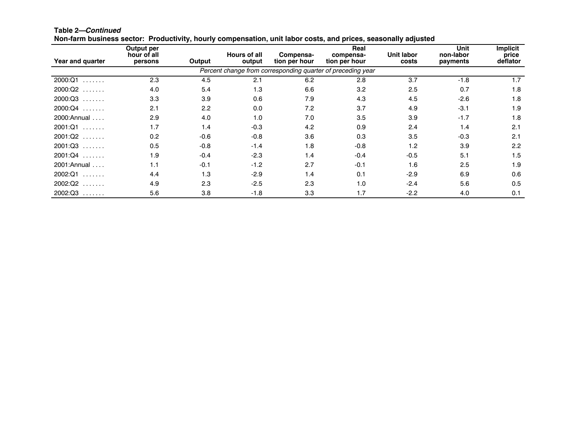| Non-farm business sector: Productivity, hourly compensation, unit labor costs, and prices, seasonally adjusted |                                      |        |                               |                            |                                                             |                     |                               |                                      |  |  |  |
|----------------------------------------------------------------------------------------------------------------|--------------------------------------|--------|-------------------------------|----------------------------|-------------------------------------------------------------|---------------------|-------------------------------|--------------------------------------|--|--|--|
| Year and quarter                                                                                               | Output per<br>hour of all<br>persons | Output | <b>Hours of all</b><br>output | Compensa-<br>tion per hour | Real<br>compensa-<br>tion per hour                          | Unit labor<br>costs | Unit<br>non-labor<br>payments | <b>Implicit</b><br>price<br>deflator |  |  |  |
|                                                                                                                |                                      |        |                               |                            | Percent change from corresponding quarter of preceding year |                     |                               |                                      |  |  |  |
| $2000:Q1$                                                                                                      | 2.3                                  | 4.5    | 2.1                           | 6.2                        | 2.8                                                         | 3.7                 | $-1.8$                        | 1.7                                  |  |  |  |
| $2000:Q2$                                                                                                      | 4.0                                  | 5.4    | 1.3                           | 6.6                        | 3.2                                                         | 2.5                 | 0.7                           | 1.8                                  |  |  |  |
| $2000:Q3$                                                                                                      | 3.3                                  | 3.9    | 0.6                           | 7.9                        | 4.3                                                         | 4.5                 | $-2.6$                        | 1.8                                  |  |  |  |
| $2000:Q4$                                                                                                      | 2.1                                  | 2.2    | 0.0                           | 7.2                        | 3.7                                                         | 4.9                 | $-3.1$                        | 1.9                                  |  |  |  |
| $2000:$ Annual                                                                                                 | 2.9                                  | 4.0    | 1.0                           | 7.0                        | 3.5                                                         | 3.9                 | $-1.7$                        | 1.8                                  |  |  |  |
| $2001:Q1$                                                                                                      | 1.7                                  | 1.4    | $-0.3$                        | 4.2                        | 0.9                                                         | 2.4                 | 1.4                           | 2.1                                  |  |  |  |
| $2001:Q2$                                                                                                      | 0.2                                  | $-0.6$ | $-0.8$                        | 3.6                        | 0.3                                                         | 3.5                 | $-0.3$                        | 2.1                                  |  |  |  |
| $2001:Q3$                                                                                                      | 0.5                                  | $-0.8$ | $-1.4$                        | 1.8                        | $-0.8$                                                      | 1.2                 | 3.9                           | 2.2                                  |  |  |  |
| $2001:Q4$                                                                                                      | 1.9                                  | $-0.4$ | $-2.3$                        | 1.4                        | $-0.4$                                                      | $-0.5$              | 5.1                           | 1.5                                  |  |  |  |
| $2001:$ Annual                                                                                                 | 1.1                                  | $-0.1$ | $-1.2$                        | 2.7                        | $-0.1$                                                      | 1.6                 | 2.5                           | 1.9                                  |  |  |  |
| 2002:Q1<br>1.1.1.1.1.1.1                                                                                       | 4.4                                  | 1.3    | $-2.9$                        | 1.4                        | 0.1                                                         | $-2.9$              | 6.9                           | 0.6                                  |  |  |  |
| $2002:Q2$                                                                                                      | 4.9                                  | 2.3    | $-2.5$                        | 2.3                        | 1.0                                                         | $-2.4$              | 5.6                           | 0.5                                  |  |  |  |
| $2002:Q3$                                                                                                      | 5.6                                  | 3.8    | $-1.8$                        | 3.3                        | 1.7                                                         | $-2.2$              | 4.0                           | 0.1                                  |  |  |  |

**Table 2—***Continued*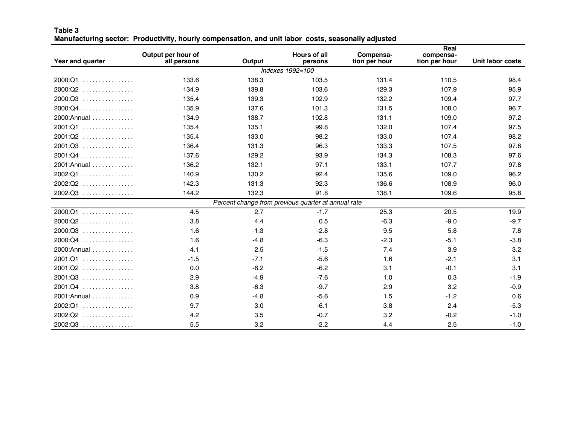#### **Table 3** Manufacturing sector: Productivity, hourly compensation, and unit labor costs, seasonally adjusted

| Year and quarter | Output per hour of<br>all persons | Output | <b>Hours of all</b><br>persons                      | Compensa-<br>tion per hour | Real<br>compensa-<br>tion per hour | <b>Unit labor costs</b> |
|------------------|-----------------------------------|--------|-----------------------------------------------------|----------------------------|------------------------------------|-------------------------|
|                  |                                   |        | Indexes 1992=100                                    |                            |                                    |                         |
| $2000:Q1$        | 133.6                             | 138.3  | 103.5                                               | 131.4                      | 110.5                              | 98.4                    |
| 2000:Q2<br>.     | 134.9                             | 139.8  | 103.6                                               | 129.3                      | 107.9                              | 95.9                    |
| 2000:Q3<br>.     | 135.4                             | 139.3  | 102.9                                               | 132.2                      | 109.4                              | 97.7                    |
| 2000:Q4<br>.     | 135.9                             | 137.6  | 101.3                                               | 131.5                      | 108.0                              | 96.7                    |
| 2000: Annual     | 134.9                             | 138.7  | 102.8                                               | 131.1                      | 109.0                              | 97.2                    |
| 2001:Q1          | 135.4                             | 135.1  | 99.8                                                | 132.0                      | 107.4                              | 97.5                    |
| $2001:Q2$        | 135.4                             | 133.0  | 98.2                                                | 133.0                      | 107.4                              | 98.2                    |
| $2001:Q3$        | 136.4                             | 131.3  | 96.3                                                | 133.3                      | 107.5                              | 97.8                    |
| $2001:Q4$        | 137.6                             | 129.2  | 93.9                                                | 134.3                      | 108.3                              | 97.6                    |
| 2001: Annual     | 136.2                             | 132.1  | 97.1                                                | 133.1                      | 107.7                              | 97.8                    |
| $2002:Q1$        | 140.9                             | 130.2  | 92.4                                                | 135.6                      | 109.0                              | 96.2                    |
| 2002:Q2<br>.     | 142.3                             | 131.3  | 92.3                                                | 136.6                      | 108.9                              | 96.0                    |
| $2002:Q3$        | 144.2                             | 132.3  | 91.8                                                | 138.1                      | 109.6                              | 95.8                    |
|                  |                                   |        | Percent change from previous quarter at annual rate |                            |                                    |                         |
| $2000:Q1$        | 4.5                               | 2.7    | $-1.7$                                              | 25.3                       | 20.5                               | 19.9                    |
| $2000:Q2$        | 3.8                               | 4.4    | 0.5                                                 | $-6.3$                     | $-9.0$                             | $-9.7$                  |
| $2000:Q3$        | 1.6                               | $-1.3$ | $-2.8$                                              | 9.5                        | 5.8                                | 7.8                     |
| $2000:Q4$        | 1.6                               | $-4.8$ | $-6.3$                                              | $-2.3$                     | $-5.1$                             | $-3.8$                  |
| 2000: Annual     | 4.1                               | 2.5    | $-1.5$                                              | 7.4                        | 3.9                                | 3.2                     |
| 2001:Q1          | $-1.5$                            | $-7.1$ | $-5.6$                                              | 1.6                        | $-2.1$                             | 3.1                     |
| $2001:Q2$        | 0.0                               | $-6.2$ | $-6.2$                                              | 3.1                        | $-0.1$                             | 3.1                     |
| 2001:Q3<br>.     | 2.9                               | $-4.9$ | $-7.6$                                              | 1.0                        | 0.3                                | $-1.9$                  |
| $2001:Q4$        | 3.8                               | $-6.3$ | $-9.7$                                              | 2.9                        | 3.2                                | $-0.9$                  |
| 2001: Annual     | 0.9                               | $-4.8$ | $-5.6$                                              | 1.5                        | $-1.2$                             | 0.6                     |
| 2002:Q1<br>.     | 9.7                               | 3.0    | $-6.1$                                              | 3.8                        | 2.4                                | $-5.3$                  |
| 2002:Q2<br>.     | 4.2                               | 3.5    | $-0.7$                                              | 3.2                        | $-0.2$                             | $-1.0$                  |
| $2002:Q3$        | 5.5                               | 3.2    | $-2.2$                                              | 4.4                        | 2.5                                | $-1.0$                  |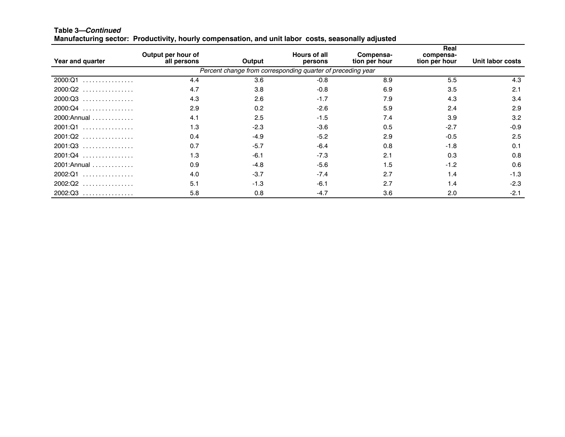| Year and quarter | Output per hour of<br>all persons | Output | <b>Hours of all</b><br>persons                              | Compensa-<br>tion per hour | Real<br>compensa-<br>tion per hour | Unit labor costs |
|------------------|-----------------------------------|--------|-------------------------------------------------------------|----------------------------|------------------------------------|------------------|
|                  |                                   |        | Percent change from corresponding quarter of preceding year |                            |                                    |                  |
| 2000:Q1<br>.     | 4.4                               | 3.6    | $-0.8$                                                      | 8.9                        | 5.5                                | 4.3              |
| $2000:Q2$        | 4.7                               | 3.8    | $-0.8$                                                      | 6.9                        | 3.5                                | 2.1              |
| 2000:Q3          | 4.3                               | 2.6    | $-1.7$                                                      | 7.9                        | 4.3                                | 3.4              |
| $2000:Q4$        | 2.9                               | 0.2    | $-2.6$                                                      | 5.9                        | 2.4                                | 2.9              |
| 2000: Annual     | 4.1                               | 2.5    | $-1.5$                                                      | 7.4                        | 3.9                                | 3.2              |
| 2001:Q1          | 1.3                               | $-2.3$ | $-3.6$                                                      | 0.5                        | $-2.7$                             | $-0.9$           |
| 2001:Q2          | 0.4                               | $-4.9$ | $-5.2$                                                      | 2.9                        | $-0.5$                             | 2.5              |
| $2001:Q3$        | 0.7                               | $-5.7$ | $-6.4$                                                      | 0.8                        | $-1.8$                             | 0.1              |
| 2001:Q4          | 1.3                               | $-6.1$ | $-7.3$                                                      | 2.1                        | 0.3                                | 0.8              |
| 2001: Annual     | 0.9                               | $-4.8$ | $-5.6$                                                      | 1.5                        | $-1.2$                             | 0.6              |
| 2002:Q1<br>.     | 4.0                               | $-3.7$ | $-7.4$                                                      | 2.7                        | 1.4                                | $-1.3$           |
| $2002:Q2$        | 5.1                               | $-1.3$ | $-6.1$                                                      | 2.7                        | 1.4                                | $-2.3$           |
| 2002:Q3          | 5.8                               | 0.8    | $-4.7$                                                      | 3.6                        | 2.0                                | $-2.1$           |

**Table 3—***Continued* Manufacturing sector: Productivity, hourly compensation, and unit labor costs, seasonally adjusted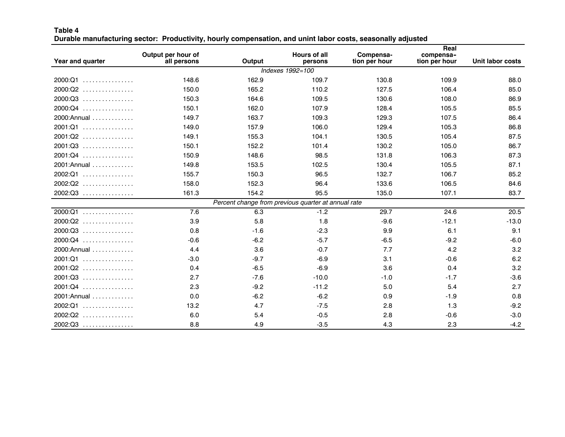| Table 4                                                                                                      |  |  |  |
|--------------------------------------------------------------------------------------------------------------|--|--|--|
| Durable manufacturing sector:  Productivity, hourly compensation, and unint labor costs, seasonally adjusted |  |  |  |

| Year and quarter | Output per hour of<br>all persons | Output | <b>Hours of all</b><br>persons                      | Compensa-<br>tion per hour | Real<br>compensa-<br>tion per hour | <b>Unit labor costs</b> |
|------------------|-----------------------------------|--------|-----------------------------------------------------|----------------------------|------------------------------------|-------------------------|
|                  |                                   |        | Indexes 1992=100                                    |                            |                                    |                         |
| 2000:Q1          | 148.6                             | 162.9  | 109.7                                               | 130.8                      | 109.9                              | 88.0                    |
| $2000:Q2$        | 150.0                             | 165.2  | 110.2                                               | 127.5                      | 106.4                              | 85.0                    |
| 2000:Q3<br>.     | 150.3                             | 164.6  | 109.5                                               | 130.6                      | 108.0                              | 86.9                    |
| 2000:Q4<br>.     | 150.1                             | 162.0  | 107.9                                               | 128.4                      | 105.5                              | 85.5                    |
| 2000: Annual     | 149.7                             | 163.7  | 109.3                                               | 129.3                      | 107.5                              | 86.4                    |
| 2001:Q1          | 149.0                             | 157.9  | 106.0                                               | 129.4                      | 105.3                              | 86.8                    |
| $2001:Q2$        | 149.1                             | 155.3  | 104.1                                               | 130.5                      | 105.4                              | 87.5                    |
| $2001:Q3$        | 150.1                             | 152.2  | 101.4                                               | 130.2                      | 105.0                              | 86.7                    |
| 2001:Q4          | 150.9                             | 148.6  | 98.5                                                | 131.8                      | 106.3                              | 87.3                    |
| $2001:$ Annual   | 149.8                             | 153.5  | 102.5                                               | 130.4                      | 105.5                              | 87.1                    |
| $2002:Q1$        | 155.7                             | 150.3  | 96.5                                                | 132.7                      | 106.7                              | 85.2                    |
| $2002:Q2$        | 158.0                             | 152.3  | 96.4                                                | 133.6                      | 106.5                              | 84.6                    |
| 2002:Q3          | 161.3                             | 154.2  | 95.5                                                | 135.0                      | 107.1                              | 83.7                    |
|                  |                                   |        | Percent change from previous quarter at annual rate |                            |                                    |                         |
| 2000:Q1          | 7.6                               | 6.3    | $-1.2$                                              | 29.7                       | 24.6                               | 20.5                    |
| 2000:Q2<br>.     | 3.9                               | 5.8    | 1.8                                                 | $-9.6$                     | $-12.1$                            | $-13.0$                 |
| $2000:Q3$        | 0.8                               | $-1.6$ | $-2.3$                                              | 9.9                        | 6.1                                | 9.1                     |
| $2000:Q4$        | $-0.6$                            | $-6.2$ | $-5.7$                                              | $-6.5$                     | $-9.2$                             | $-6.0$                  |
| 2000: Annual     | 4.4                               | 3.6    | $-0.7$                                              | 7.7                        | 4.2                                | 3.2                     |
| 2001:Q1          | $-3.0$                            | $-9.7$ | $-6.9$                                              | 3.1                        | $-0.6$                             | 6.2                     |
| $2001:Q2$        | 0.4                               | $-6.5$ | $-6.9$                                              | 3.6                        | 0.4                                | 3.2                     |
| $2001:Q3$        | 2.7                               | $-7.6$ | $-10.0$                                             | $-1.0$                     | $-1.7$                             | $-3.6$                  |
| $2001:Q4$        | 2.3                               | $-9.2$ | $-11.2$                                             | 5.0                        | 5.4                                | 2.7                     |
| $2001:$ Annual   | 0.0                               | $-6.2$ | $-6.2$                                              | 0.9                        | $-1.9$                             | 0.8                     |
| $2002:Q1$        | 13.2                              | 4.7    | $-7.5$                                              | 2.8                        | 1.3                                | $-9.2$                  |
| $2002:Q2$        | 6.0                               | 5.4    | $-0.5$                                              | 2.8                        | $-0.6$                             | $-3.0$                  |
| $2002:Q3$        | 8.8                               | 4.9    | $-3.5$                                              | 4.3                        | 2.3                                | $-4.2$                  |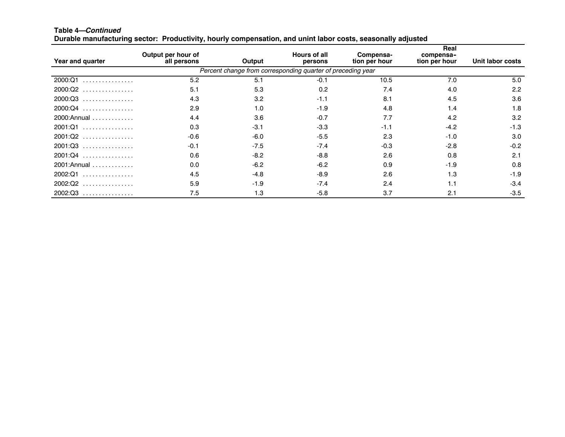| Year and quarter | Output per hour of<br>all persons | Output | <b>Hours of all</b><br>persons                              | Compensa-<br>tion per hour | Real<br>compensa-<br>tion per hour | Unit labor costs |
|------------------|-----------------------------------|--------|-------------------------------------------------------------|----------------------------|------------------------------------|------------------|
|                  |                                   |        | Percent change from corresponding quarter of preceding year |                            |                                    |                  |
| 2000:Q1<br>.     | 5.2                               | 5.1    | $-0.1$                                                      | 10.5                       | 7.0                                | 5.0              |
| $2000:Q2$        | 5.1                               | 5.3    | 0.2                                                         | 7.4                        | 4.0                                | 2.2              |
| 2000:Q3<br>.     | 4.3                               | 3.2    | $-1.1$                                                      | 8.1                        | 4.5                                | 3.6              |
| $2000:Q4$        | 2.9                               | 1.0    | $-1.9$                                                      | 4.8                        | 1.4                                | 1.8              |
| 2000: Annual     | 4.4                               | 3.6    | $-0.7$                                                      | 7.7                        | 4.2                                | 3.2              |
| 2001:Q1          | 0.3                               | $-3.1$ | $-3.3$                                                      | $-1.1$                     | $-4.2$                             | $-1.3$           |
| 2001:Q2          | $-0.6$                            | $-6.0$ | $-5.5$                                                      | 2.3                        | $-1.0$                             | 3.0              |
| $2001:Q3$        | $-0.1$                            | $-7.5$ | $-7.4$                                                      | $-0.3$                     | $-2.8$                             | $-0.2$           |
| 2001:Q4          | 0.6                               | $-8.2$ | $-8.8$                                                      | 2.6                        | 0.8                                | 2.1              |
| 2001: Annual     | 0.0                               | $-6.2$ | $-6.2$                                                      | 0.9                        | $-1.9$                             | 0.8              |
| 2002:Q1<br>.     | 4.5                               | $-4.8$ | $-8.9$                                                      | 2.6                        | 1.3                                | $-1.9$           |
| 2002:Q2          | 5.9                               | $-1.9$ | $-7.4$                                                      | 2.4                        | 1.1                                | $-3.4$           |
| $2002:Q3$        | 7.5                               | 1.3    | $-5.8$                                                      | 3.7                        | 2.1                                | $-3.5$           |

Durable manufacturing sector: Productivity, hourly compensation, and unint labor costs, seasonally adjusted

**Table 4—***Continued*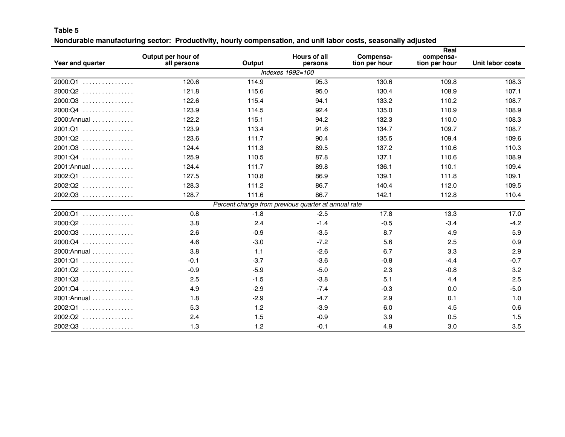#### **Table 5**

Nondurable manufacturing sector: Productivity, hourly compensation, and unit labor costs, seasonally adjusted

|                  |                                   |        |                                                     |                            | Real                       |                         |
|------------------|-----------------------------------|--------|-----------------------------------------------------|----------------------------|----------------------------|-------------------------|
| Year and quarter | Output per hour of<br>all persons | Output | <b>Hours of all</b><br>persons                      | Compensa-<br>tion per hour | compensa-<br>tion per hour | <b>Unit labor costs</b> |
|                  |                                   |        | Indexes 1992=100                                    |                            |                            |                         |
| $2000:Q1$        | 120.6                             | 114.9  | 95.3                                                | 130.6                      | 109.8                      | 108.3                   |
| 2000:Q2<br>.     | 121.8                             | 115.6  | 95.0                                                | 130.4                      | 108.9                      | 107.1                   |
| $2000:Q3$        | 122.6                             | 115.4  | 94.1                                                | 133.2                      | 110.2                      | 108.7                   |
| $2000:Q4$        | 123.9                             | 114.5  | 92.4                                                | 135.0                      | 110.9                      | 108.9                   |
| 2000: Annual     | 122.2                             | 115.1  | 94.2                                                | 132.3                      | 110.0                      | 108.3                   |
| $2001:Q1$        | 123.9                             | 113.4  | 91.6                                                | 134.7                      | 109.7                      | 108.7                   |
| $2001:Q2$        | 123.6                             | 111.7  | 90.4                                                | 135.5                      | 109.4                      | 109.6                   |
| $2001:Q3$        | 124.4                             | 111.3  | 89.5                                                | 137.2                      | 110.6                      | 110.3                   |
| $2001:Q4$        | 125.9                             | 110.5  | 87.8                                                | 137.1                      | 110.6                      | 108.9                   |
| 2001: Annual     | 124.4                             | 111.7  | 89.8                                                | 136.1                      | 110.1                      | 109.4                   |
| 2002:Q1<br>.     | 127.5                             | 110.8  | 86.9                                                | 139.1                      | 111.8                      | 109.1                   |
| $2002:Q2$        | 128.3                             | 111.2  | 86.7                                                | 140.4                      | 112.0                      | 109.5                   |
| $2002:Q3$        | 128.7                             | 111.6  | 86.7                                                | 142.1                      | 112.8                      | 110.4                   |
|                  |                                   |        | Percent change from previous quarter at annual rate |                            |                            |                         |
| $2000:Q1$        | 0.8                               | $-1.8$ | $-2.5$                                              | 17.8                       | 13.3                       | 17.0                    |
| 2000:Q2<br>.     | 3.8                               | 2.4    | $-1.4$                                              | $-0.5$                     | $-3.4$                     | $-4.2$                  |
| $2000:Q3$        | 2.6                               | $-0.9$ | $-3.5$                                              | 8.7                        | 4.9                        | 5.9                     |
| $2000:Q4$        | 4.6                               | $-3.0$ | $-7.2$                                              | 5.6                        | 2.5                        | 0.9                     |
| $2000:$ Annual   | 3.8                               | 1.1    | $-2.6$                                              | 6.7                        | 3.3                        | 2.9                     |
| 2001:Q1          | $-0.1$                            | $-3.7$ | $-3.6$                                              | $-0.8$                     | $-4.4$                     | $-0.7$                  |
| $2001:Q2$        | $-0.9$                            | $-5.9$ | $-5.0$                                              | 2.3                        | $-0.8$                     | 3.2                     |
| $2001:Q3$        | 2.5                               | $-1.5$ | $-3.8$                                              | 5.1                        | 4.4                        | 2.5                     |
| $2001:Q4$        | 4.9                               | $-2.9$ | $-7.4$                                              | $-0.3$                     | 0.0                        | $-5.0$                  |
| 2001: Annual     | 1.8                               | $-2.9$ | $-4.7$                                              | 2.9                        | 0.1                        | 1.0                     |
| $2002:Q1$        | 5.3                               | 1.2    | $-3.9$                                              | 6.0                        | 4.5                        | 0.6                     |
| 2002:Q2<br>.     | 2.4                               | 1.5    | $-0.9$                                              | 3.9                        | 0.5                        | 1.5                     |
| $2002:Q3$        | 1.3                               | 1.2    | $-0.1$                                              | 4.9                        | 3.0                        | 3.5                     |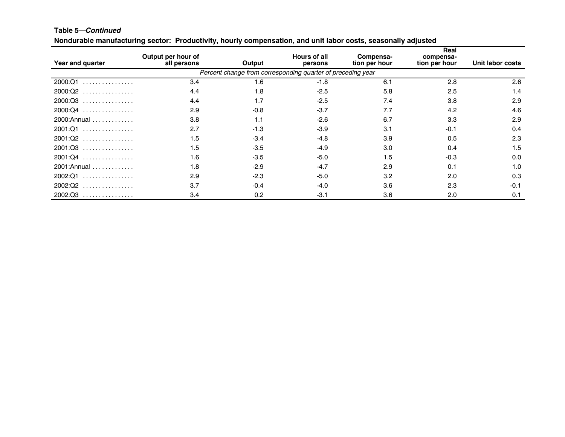#### **Table 5—***Continued*

Nondurable manufacturing sector: Productivity, hourly compensation, and unit labor costs, seasonally adjusted

| Year and quarter | Output per hour of<br>all persons | Output | <b>Hours of all</b><br>persons                              | Compensa-<br>tion per hour | Real<br>compensa-<br>tion per hour | Unit labor costs |
|------------------|-----------------------------------|--------|-------------------------------------------------------------|----------------------------|------------------------------------|------------------|
|                  |                                   |        | Percent change from corresponding quarter of preceding year |                            |                                    |                  |
| 2000:Q1<br>.     | 3.4                               | 1.6    | $-1.8$                                                      | 6.1                        | 2.8                                | 2.6              |
| $2000:Q2$        | 4.4                               | 1.8    | $-2.5$                                                      | 5.8                        | 2.5                                | 1.4              |
| $2000:Q3$        | 4.4                               | 1.7    | $-2.5$                                                      | 7.4                        | 3.8                                | 2.9              |
| 2000:Q4          | 2.9                               | $-0.8$ | $-3.7$                                                      | 7.7                        | 4.2                                | 4.6              |
| 2000: Annual     | 3.8                               | 1.1    | $-2.6$                                                      | 6.7                        | 3.3                                | 2.9              |
| 2001:Q1          | 2.7                               | $-1.3$ | $-3.9$                                                      | 3.1                        | $-0.1$                             | 0.4              |
| $2001:Q2$        | 1.5                               | $-3.4$ | $-4.8$                                                      | 3.9                        | 0.5                                | 2.3              |
| $2001:Q3$        | 1.5                               | $-3.5$ | $-4.9$                                                      | 3.0                        | 0.4                                | 1.5              |
| $2001:Q4$        | 1.6                               | $-3.5$ | $-5.0$                                                      | 1.5                        | $-0.3$                             | 0.0              |
| 2001: Annual     | 1.8                               | $-2.9$ | $-4.7$                                                      | 2.9                        | 0.1                                | 1.0              |
| 2002:Q1<br>.     | 2.9                               | $-2.3$ | $-5.0$                                                      | 3.2                        | 2.0                                | 0.3              |
| $2002:Q2$        | 3.7                               | $-0.4$ | $-4.0$                                                      | 3.6                        | 2.3                                | $-0.1$           |
| 2002:Q3          | 3.4                               | 0.2    | $-3.1$                                                      | 3.6                        | 2.0                                | 0.1              |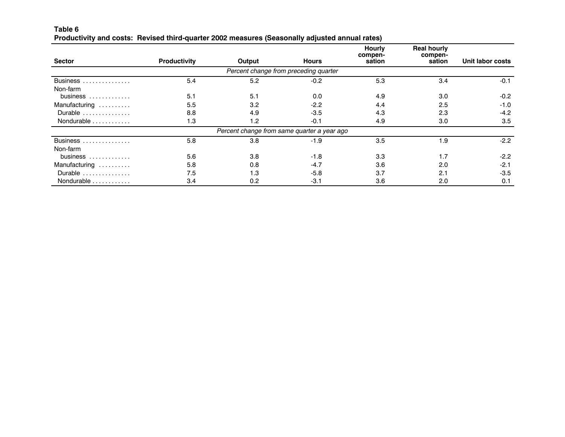#### **Table 6** Productivity and costs: Revised third-quarter 2002 measures (Seasonally adjusted annual rates)

|                                 |                     |                                             |                                       | <b>Hourly</b><br>compen- | <b>Real hourly</b><br>compen- |                  |
|---------------------------------|---------------------|---------------------------------------------|---------------------------------------|--------------------------|-------------------------------|------------------|
| <b>Sector</b>                   | <b>Productivity</b> | Output                                      | <b>Hours</b>                          | sation                   | sation                        | Unit labor costs |
|                                 |                     |                                             | Percent change from preceding quarter |                          |                               |                  |
| Business                        | 5.4                 | 5.2                                         | $-0.2$                                | 5.3                      | 3.4                           | $-0.1$           |
| Non-farm                        |                     |                                             |                                       |                          |                               |                  |
| business                        | 5.1                 | 5.1                                         | 0.0                                   | 4.9                      | 3.0                           | $-0.2$           |
| Manufacturing                   | 5.5                 | 3.2                                         | $-2.2$                                | 4.4                      | 2.5                           | $-1.0$           |
| Durable                         | 8.8                 | 4.9                                         | $-3.5$                                | 4.3                      | 2.3                           | $-4.2$           |
| Nondurable                      | 1.3                 | 1.2                                         | $-0.1$                                | 4.9                      | 3.0                           | 3.5              |
|                                 |                     | Percent change from same quarter a year ago |                                       |                          |                               |                  |
| Business                        | 5.8                 | 3.8                                         | $-1.9$                                | 3.5                      | 1.9                           | $-2.2$           |
| Non-farm                        |                     |                                             |                                       |                          |                               |                  |
| business $\dots\dots\dots\dots$ | 5.6                 | 3.8                                         | $-1.8$                                | 3.3                      | 1.7                           | $-2.2$           |
| Manufacturing                   | 5.8                 | 0.8                                         | $-4.7$                                | 3.6                      | 2.0                           | $-2.1$           |
| Durable                         | 7.5                 | 1.3                                         | $-5.8$                                | 3.7                      | 2.1                           | $-3.5$           |
| Nondurable                      | 3.4                 | 0.2                                         | $-3.1$                                | 3.6                      | 2.0                           | 0.1              |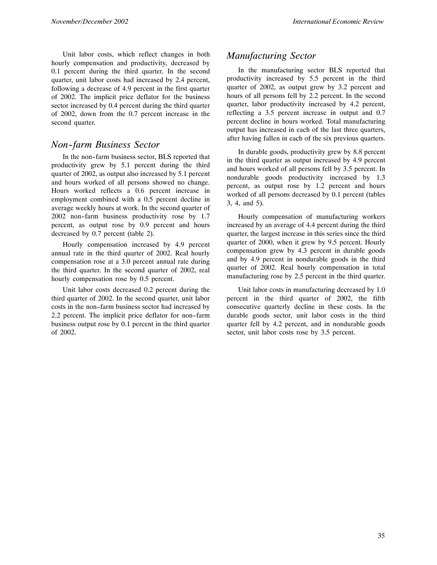Unit labor costs, which reflect changes in both hourly compensation and productivity, decreased by 0.1 percent during the third quarter. In the second quarter, unit labor costs had increased by 2.4 percent, following a decrease of 4.9 percent in the first quarter of 2002. The implicit price deflator for the business sector increased by 0.4 percent during the third quarter of 2002, down from the 0.7 percent increase in the second quarter.

#### *Non--farm Business Sector*

In the non-farm business sector, BLS reported that productivity grew by 5.1 percent during the third quarter of 2002, as output also increased by 5.1 percent and hours worked of all persons showed no change. Hours worked reflects a 0.6 percent increase in employment combined with a 0.5 percent decline in average weekly hours at work. In the second quarter of 2002 non-farm business productivity rose by 1.7 percent, as output rose by 0.9 percent and hours decreased by 0.7 percent (table 2).

Hourly compensation increased by 4.9 percent annual rate in the third quarter of 2002. Real hourly compensation rose at a 3.0 percent annual rate during the third quarter. In the second quarter of 2002, real hourly compensation rose by 0.5 percent.

Unit labor costs decreased 0.2 percent during the third quarter of 2002. In the second quarter, unit labor costs in the non-farm business sector had increased by 2.2 percent. The implicit price deflator for non-farm business output rose by 0.1 percent in the third quarter of 2002.

#### *Manufacturing Sector*

In the manufacturing sector BLS reported that productivity increased by 5.5 percent in the third quarter of 2002, as output grew by 3.2 percent and hours of all persons fell by 2.2 percent. In the second quarter, labor productivity increased by 4.2 percent, reflecting a 3.5 percent increase in output and 0.7 percent decline in hours worked. Total manufacturing output has increased in each of the last three quarters, after having fallen in each of the six previous quarters.

In durable goods, productivity grew by 8.8 percent in the third quarter as output increased by 4.9 percent and hours worked of all persons fell by 3.5 percent. In nondurable goods productivity increased by 1.3 percent, as output rose by 1.2 percent and hours worked of all persons decreased by 0.1 percent (tables 3, 4, and 5).

Hourly compensation of manufacturing workers increased by an average of 4.4 percent during the third quarter, the largest increase in this series since the third quarter of 2000, when it grew by 9.5 percent. Hourly compensation grew by 4.3 percent in durable goods and by 4.9 percent in nondurable goods in the third quarter of 2002. Real hourly compensation in total manufacturing rose by 2.5 percent in the third quarter.

Unit labor costs in manufacturing decreased by 1.0 percent in the third quarter of 2002, the fifth consecutive quarterly decline in these costs. In the durable goods sector, unit labor costs in the third quarter fell by 4.2 percent, and in nondurable goods sector, unit labor costs rose by 3.5 percent.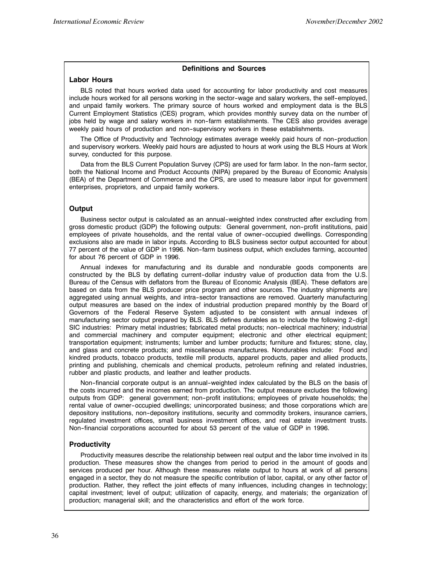#### **Definitions and Sources**

#### **Labor Hours**

BLS noted that hours worked data used for accounting for labor productivity and cost measures include hours worked for all persons working in the sector-wage and salary workers, the self-employed, and unpaid family workers. The primary source of hours worked and employment data is the BLS Current Employment Statistics (CES) program, which provides monthly survey data on the number of jobs held by wage and salary workers in non-farm establishments. The CES also provides average weekly paid hours of production and non--supervisory workers in these establishments.

The Office of Productivity and Technology estimates average weekly paid hours of non--production and supervisory workers. Weekly paid hours are adjusted to hours at work using the BLS Hours at Work survey, conducted for this purpose.

Data from the BLS Current Population Survey (CPS) are used for farm labor. In the non-farm sector, both the National Income and Product Accounts (NIPA) prepared by the Bureau of Economic Analysis (BEA) of the Department of Commerce and the CPS, are used to measure labor input for government enterprises, proprietors, and unpaid family workers.

#### **Output**

Business sector output is calculated as an annual--weighted index constructed after excluding from gross domestic product (GDP) the following outputs: General government, non--profit institutions, paid employees of private households, and the rental value of owner--occupied dwellings. Corresponding exclusions also are made in labor inputs. According to BLS business sector output accounted for about 77 percent of the value of GDP in 1996. Non--farm business output, which excludes farming, accounted for about 76 percent of GDP in 1996.

Annual indexes for manufacturing and its durable and nondurable goods components are constructed by the BLS by deflating current-dollar industry value of production data from the U.S. Bureau of the Census with deflators from the Bureau of Economic Analysis (BEA). These deflators are based on data from the BLS producer price program and other sources. The industry shipments are aggregated using annual weights, and intra-sector transactions are removed. Quarterly manufacturing output measures are based on the index of industrial production prepared monthly by the Board of Governors of the Federal Reserve System adjusted to be consistent with annual indexes of manufacturing sector output prepared by BLS. BLS defines durables as to include the following 2-digit SIC industries: Primary metal industries; fabricated metal products; non-electrical machinery; industrial and commercial machinery and computer equipment; electronic and other electrical equipment; transportation equipment; instruments; lumber and lumber products; furniture and fixtures; stone, clay, and glass and concrete products; and miscellaneous manufactures. Nondurables include: Food and kindred products, tobacco products, textile mill products, apparel products, paper and allied products, printing and publishing, chemicals and chemical products, petroleum refining and related industries, rubber and plastic products, and leather and leather products.

Non-financial corporate output is an annual-weighted index calculated by the BLS on the basis of the costs incurred and the incomes earned from production. The output measure excludes the following outputs from GDP: general government; non--profit institutions; employees of private households; the rental value of owner-occupied dwellings; unincorporated business; and those corporations which are depository institutions, non-depository institutions, security and commodity brokers, insurance carriers, regulated investment offices, small business investment offices, and real estate investment trusts. Non--financial corporations accounted for about 53 percent of the value of GDP in 1996.

#### **Productivity**

Productivity measures describe the relationship between real output and the labor time involved in its production. These measures show the changes from period to period in the amount of goods and services produced per hour. Although these measures relate output to hours at work of all persons engaged in a sector, they do not measure the specific contribution of labor, capital, or any other factor of production. Rather, they reflect the joint effects of many influences, including changes in technology; capital investment; level of output; utilization of capacity, energy, and materials; the organization of production; managerial skill; and the characteristics and effort of the work force.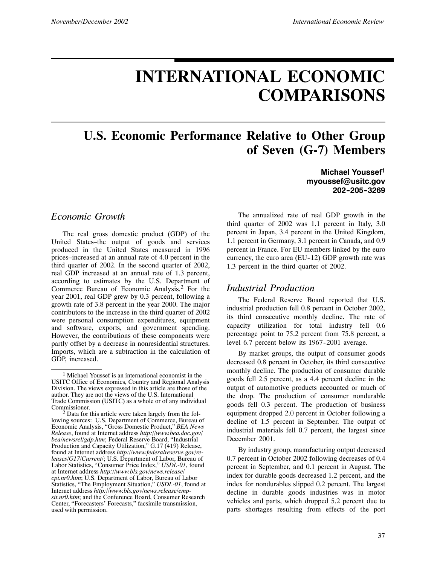# **INTERNATIONAL ECONOMIC COMPARISONS**

## **U.S. Economic Performance Relative to Other Group of Seven (G-7) Members**

**Michael Youssef1 myoussef@usitc.gov 202--205--3269**

#### *Economic Growth*

The real gross domestic product (GDP) of the United States–the output of goods and services produced in the United States measured in 1996 prices–increased at an annual rate of 4.0 percent in the third quarter of 2002. In the second quarter of 2002, real GDP increased at an annual rate of 1.3 percent, according to estimates by the U.S. Department of Commerce Bureau of Economic Analysis.<sup>2</sup> For the year 2001, real GDP grew by 0.3 percent, following a growth rate of 3.8 percent in the year 2000. The major contributors to the increase in the third quarter of 2002 were personal consumption expenditures, equipment and software, exports, and government spending. However, the contributions of these components were partly offset by a decrease in nonresidential structures. Imports, which are a subtraction in the calculation of GDP, increased.

The annualized rate of real GDP growth in the third quarter of 2002 was 1.1 percent in Italy, 3.0 percent in Japan, 3.4 percent in the United Kingdom, 1.1 percent in Germany, 3.1 percent in Canada, and 0.9 percent in France. For EU members linked by the euro currency, the euro area  $(EU-12)$  GDP growth rate was 1.3 percent in the third quarter of 2002.

#### *Industrial Production*

The Federal Reserve Board reported that U.S. industrial production fell 0.8 percent in October 2002, its third consecutive monthly decline. The rate of capacity utilization for total industry fell 0.6 percentage point to 75.2 percent from 75.8 percent, a level 6.7 percent below its 1967-2001 average.

By market groups, the output of consumer goods decreased 0.8 percent in October, its third consecutive monthly decline. The production of consumer durable goods fell 2.5 percent, as a 4.4 percent decline in the output of automotive products accounted or much of the drop. The production of consumer nondurable goods fell 0.3 percent. The production of business equipment dropped 2.0 percent in October following a decline of 1.5 percent in September. The output of industrial materials fell 0.7 percent, the largest since December 2001.

By industry group, manufacturing output decreased 0.7 percent in October 2002 following decreases of 0.4 percent in September, and 0.1 percent in August. The index for durable goods decreased 1.2 percent, and the index for nondurables slipped 0.2 percent. The largest decline in durable goods industries was in motor vehicles and parts, which dropped 5.2 percent due to parts shortages resulting from effects of the port

<sup>1</sup> Michael Youssef is an international economist in the USITC Office of Economics, Country and Regional Analysis Division. The views expressed in this article are those of the author. They are not the views of the U.S. International Trade Commission (USITC) as a whole or of any individual Commissioner.

<sup>&</sup>lt;sup>2</sup> Data for this article were taken largely from the following sources: U.S. Department of Commerce, Bureau of Economic Analysis, "Gross Domestic Product," *BEA News Release*, found at Internet address *http://www.bea.doc.gov/ bea/newsrel/gdp.htm*; Federal Reserve Board, "Industrial Production and Capacity Utilization," G.17 (419) Release, found at Internet address *http://www.federalreserve.gov/releases/G17/Current/*; U.S. Department of Labor, Bureau of Labor Statistics, "Consumer Price Index," *USDL-01*, found at Internet address *http://www.bls.gov/news.release/ cpi.nr0.htm*; U.S. Department of Labor, Bureau of Labor Statistics, "The Employment Situation," *USDL-01*, found at Internet address *http://www.bls.gov/news.release/empsit.nr0.htm*; and the Conference Board, Consumer Research Center, "Forecasters' Forecasts," facsimile transmission, used with permission.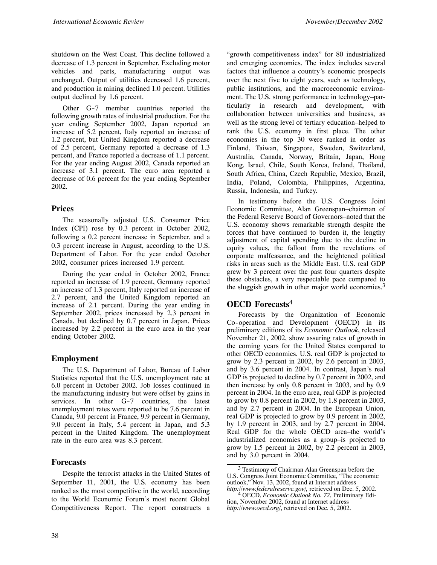shutdown on the West Coast. This decline followed a decrease of 1.3 percent in September. Excluding motor vehicles and parts, manufacturing output was unchanged. Output of utilities decreased 1.6 percent, and production in mining declined 1.0 percent. Utilities output declined by 1.6 percent.

Other G-7 member countries reported the following growth rates of industrial production. For the year ending September 2002, Japan reported an increase of 5.2 percent, Italy reported an increase of 1.2 percent, but United Kingdom reported a decrease of 2.5 percent, Germany reported a decrease of 1.3 percent, and France reported a decrease of 1.1 percent. For the year ending August 2002, Canada reported an increase of 3.1 percent. The euro area reported a decrease of 0.6 percent for the year ending September 2002.

#### **Prices**

The seasonally adjusted U.S. Consumer Price Index (CPI) rose by 0.3 percent in October 2002, following a 0.2 percent increase in September, and a 0.3 percent increase in August, according to the U.S. Department of Labor. For the year ended October 2002, consumer prices increased 1.9 percent.

During the year ended in October 2002, France reported an increase of 1.9 percent, Germany reported an increase of 1.3 percent, Italy reported an increase of 2.7 percent, and the United Kingdom reported an increase of 2.1 percent. During the year ending in September 2002, prices increased by 2.3 percent in Canada, but declined by 0.7 percent in Japan. Prices increased by 2.2 percent in the euro area in the year ending October 2002.

#### **Employment**

The U.S. Department of Labor, Bureau of Labor Statistics reported that the U.S. unemployment rate at 6.0 percent in October 2002. Job losses continued in the manufacturing industry but were offset by gains in services. In other G-7 countries, the latest unemployment rates were reported to be 7.6 percent in Canada, 9.0 percent in France, 9.9 percent in Germany, 9.0 percent in Italy, 5.4 percent in Japan, and 5.3 percent in the United Kingdom. The unemployment rate in the euro area was 8.3 percent.

#### **Forecasts**

Despite the terrorist attacks in the United States of September 11, 2001, the U.S. economy has been ranked as the most competitive in the world, according to the World Economic Forum's most recent Global Competitiveness Report. The report constructs a

"growth competitiveness index" for 80 industrialized and emerging economies. The index includes several factors that influence a country's economic prospects over the next five to eight years, such as technology, public institutions, and the macroeconomic environment. The U.S. strong performance in technology–particularly in research and development, with collaboration between universities and business, as well as the strong level of tertiary education–helped to rank the U.S. economy in first place. The other economies in the top 30 were ranked in order as Finland, Taiwan, Singapore, Sweden, Switzerland, Australia, Canada, Norway, Britain, Japan, Hong Kong. Israel, Chile, South Korea, Ireland, Thailand, South Africa, China, Czech Republic, Mexico, Brazil, India, Poland, Colombia, Philippines, Argentina, Russia, Indonesia, and Turkey.

In testimony before the U.S. Congress Joint Economic Committee, Alan Greenspan–chairman of the Federal Reserve Board of Governors–noted that the U.S. economy shows remarkable strength despite the forces that have continued to burden it, the lengthy adjustment of capital spending due to the decline in equity values, the fallout from the revelations of corporate malfeasance, and the heightened political risks in areas such as the Middle East. U.S. real GDP grew by 3 percent over the past four quarters despite these obstacles, a very respectable pace compared to the sluggish growth in other major world economies.<sup>3</sup>

#### **OECD Forecasts**<sup>4</sup>

Forecasts by the Organization of Economic Co--operation and Development (OECD) in its preliminary editions of its *Economic Outlook*, released November 21, 2002, show assuring rates of growth in the coming years for the United States compared to other OECD economies. U.S. real GDP is projected to grow by 2.3 percent in 2002, by 2.6 percent in 2003, and by 3.6 percent in 2004. In contrast, Japan's real GDP is projected to decline by 0.7 percent in 2002, and then increase by only 0.8 percent in 2003, and by 0.9 percent in 2004. In the euro area, real GDP is projected to grow by 0.8 percent in 2002, by 1.8 percent in 2003, and by 2.7 percent in 2004. In the European Union, real GDP is projected to grow by 0.9 percent in 2002, by 1.9 percent in 2003, and by 2.7 percent in 2004. Real GDP for the whole OECD area–the world's industrialized economies as a group–is projected to grow by 1.5 percent in 2002, by 2.2 percent in 2003, and by 3.0 percent in 2004.

<sup>3</sup> Testimony of Chairman Alan Greenspan before the U.S. Congress Joint Economic Committee, "The economic outlook," Nov. 13, 2002, found at Internet address

*http://www.federalreserve.gov/,* retrieved on Dec. 5, 2002. <sup>4</sup> OECD, *Economic Outlook No. 72*, Preliminary Edition, November 2002, found at Internet address *http://www.oecd.org/*, retrieved on Dec. 5, 2002.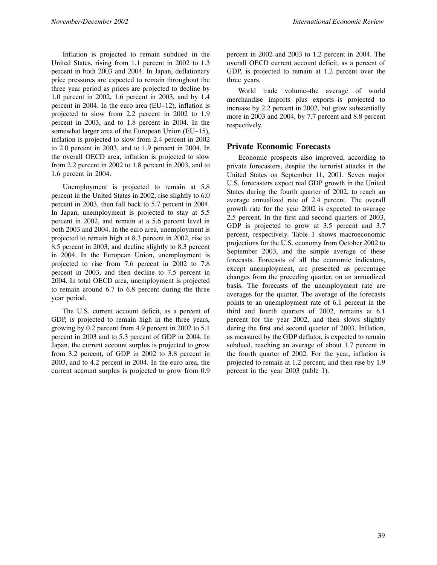Inflation is projected to remain subdued in the United States, rising from 1.1 percent in 2002 to 1.3 percent in both 2003 and 2004. In Japan, deflationary price pressures are expected to remain throughout the three year period as prices are projected to decline by 1.0 percent in 2002, 1.6 percent in 2003, and by 1.4 percent in 2004. In the euro area (EU-12), inflation is projected to slow from 2.2 percent in 2002 to 1.9 percent in 2003, and to 1.8 percent in 2004. In the somewhat larger area of the European Union (EU-15), inflation is projected to slow from 2.4 percent in 2002 to 2.0 percent in 2003, and to 1.9 percent in 2004. In the overall OECD area, inflation is projected to slow from 2.2 percent in 2002 to 1.8 percent in 2003, and to 1.6 percent in 2004.

Unemployment is projected to remain at 5.8 percent in the United States in 2002, rise slightly to 6.0 percent in 2003, then fall back to 5.7 percent in 2004. In Japan, unemployment is projected to stay at 5.5 percent in 2002, and remain at a 5.6 percent level in both 2003 and 2004. In the euro area, unemployment is projected to remain high at 8.3 percent in 2002, rise to 8.5 percent in 2003, and decline slightly to 8.3 percent in 2004. In the European Union, unemployment is projected to rise from 7.6 percent in 2002 to 7.8 percent in 2003, and then decline to 7.5 percent in 2004. In total OECD area, unemployment is projected to remain around 6.7 to 6.8 percent during the three year period.

The U.S. current account deficit, as a percent of GDP, is projected to remain high in the three years, growing by 0.2 percent from 4.9 percent in 2002 to 5.1 percent in 2003 and to 5.3 percent of GDP in 2004. In Japan, the current account surplus is projected to grow from 3.2 percent, of GDP in 2002 to 3.8 percent in 2003, and to 4.2 percent in 2004. In the euro area, the current account surplus is projected to grow from 0.9

percent in 2002 and 2003 to 1.2 percent in 2004. The overall OECD current account deficit, as a percent of GDP, is projected to remain at 1.2 percent over the three years.

World trade volume–the average of world merchandise imports plus exports–is projected to increase by 2.2 percent in 2002, but grow substantially more in 2003 and 2004, by 7.7 percent and 8.8 percent respectively.

#### **Private Economic Forecasts**

Economic prospects also improved, according to private forecasters, despite the terrorist attacks in the United States on September 11, 2001. Seven major U.S. forecasters expect real GDP growth in the United States during the fourth quarter of 2002, to reach an average annualized rate of 2.4 percent. The overall growth rate for the year 2002 is expected to average 2.5 percent. In the first and second quarters of 2003, GDP is projected to grow at 3.5 percent and 3.7 percent, respectively. Table 1 shows macroeconomic projections for the U.S. economy from October 2002 to September 2003, and the simple average of these forecasts. Forecasts of all the economic indicators, except unemployment, are presented as percentage changes from the preceding quarter, on an annualized basis. The forecasts of the unemployment rate are averages for the quarter. The average of the forecasts points to an unemployment rate of 6.1 percent in the third and fourth quarters of 2002, remains at 6.1 percent for the year 2002, and then slows slightly during the first and second quarter of 2003. Inflation, as measured by the GDP deflator, is expected to remain subdued, reaching an average of about 1.7 percent in the fourth quarter of 2002. For the year, inflation is projected to remain at 1.2 percent, and then rise by 1.9 percent in the year 2003 (table 1).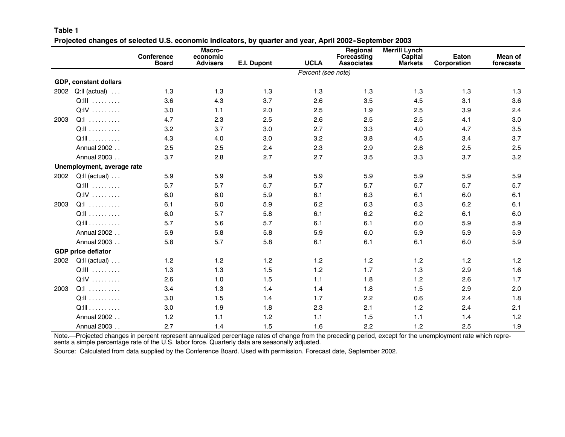|      |                              | <b>Conference</b><br><b>Board</b> | Macro-<br>economic<br><b>Advisers</b> | E.I. Dupont | <b>UCLA</b>        | <b>Regional</b><br>Forecasting<br><b>Associates</b> | <b>Merrill Lynch</b><br>Capital<br><b>Markets</b> | Eaton<br>Corporation | <b>Mean of</b><br>forecasts |
|------|------------------------------|-----------------------------------|---------------------------------------|-------------|--------------------|-----------------------------------------------------|---------------------------------------------------|----------------------|-----------------------------|
|      |                              |                                   |                                       |             | Percent (see note) |                                                     |                                                   |                      |                             |
|      | GDP, constant dollars        |                                   |                                       |             |                    |                                                     |                                                   |                      |                             |
| 2002 | $Q:II$ (actual)              | 1.3                               | 1.3                                   | 1.3         | 1.3                | 1.3                                                 | 1.3                                               | 1.3                  | 1.3                         |
|      | Q:III                        | 3.6                               | 4.3                                   | 3.7         | 2.6                | 3.5                                                 | 4.5                                               | 3.1                  | 3.6                         |
|      | Q:IV                         | 3.0                               | 1.1                                   | 2.0         | 2.5                | 1.9                                                 | 2.5                                               | 3.9                  | 2.4                         |
| 2003 | Q:I                          | 4.7                               | 2.3                                   | 2.5         | 2.6                | 2.5                                                 | 2.5                                               | 4.1                  | 3.0                         |
|      | Q:II                         | 3.2                               | 3.7                                   | 3.0         | 2.7                | 3.3                                                 | 4.0                                               | 4.7                  | 3.5                         |
|      | $Q:III \ldots \ldots \ldots$ | 4.3                               | 4.0                                   | 3.0         | 3.2                | 3.8                                                 | 4.5                                               | 3.4                  | 3.7                         |
|      | Annual 2002                  | 2.5                               | 2.5                                   | 2.4         | 2.3                | 2.9                                                 | 2.6                                               | 2.5                  | 2.5                         |
|      | Annual 2003                  | 3.7                               | 2.8                                   | 2.7         | 2.7                | 3.5                                                 | 3.3                                               | 3.7                  | 3.2                         |
|      | Unemployment, average rate   |                                   |                                       |             |                    |                                                     |                                                   |                      |                             |
| 2002 | Q:ll (actual)                | 5.9                               | 5.9                                   | 5.9         | 5.9                | 5.9                                                 | 5.9                                               | 5.9                  | 5.9                         |
|      | Q:III                        | 5.7                               | 5.7                                   | 5.7         | 5.7                | 5.7                                                 | 5.7                                               | 5.7                  | 5.7                         |
|      | Q:IV                         | 6.0                               | 6.0                                   | 5.9         | 6.1                | 6.3                                                 | 6.1                                               | 6.0                  | 6.1                         |
| 2003 | Q:1                          | 6.1                               | 6.0                                   | 5.9         | 6.2                | 6.3                                                 | 6.3                                               | 6.2                  | 6.1                         |
|      | Q:II                         | 6.0                               | 5.7                                   | 5.8         | 6.1                | 6.2                                                 | 6.2                                               | 6.1                  | 6.0                         |
|      | Q:III                        | 5.7                               | 5.6                                   | 5.7         | 6.1                | 6.1                                                 | 6.0                                               | 5.9                  | 5.9                         |
|      | Annual 2002                  | 5.9                               | 5.8                                   | 5.8         | 5.9                | 6.0                                                 | 5.9                                               | 5.9                  | 5.9                         |
|      | Annual 2003                  | 5.8                               | 5.7                                   | 5.8         | 6.1                | 6.1                                                 | 6.1                                               | 6.0                  | 5.9                         |
|      | <b>GDP price deflator</b>    |                                   |                                       |             |                    |                                                     |                                                   |                      |                             |
| 2002 | $Q:II$ (actual) $\ldots$     | 1.2                               | 1.2                                   | 1.2         | 1.2                | 1.2                                                 | 1.2                                               | 1.2                  | 1.2                         |
|      | Q:III                        | 1.3                               | 1.3                                   | 1.5         | 1.2                | 1.7                                                 | 1.3                                               | 2.9                  | 1.6                         |
|      | Q:IV                         | 2.6                               | 1.0                                   | 1.5         | 1.1                | 1.8                                                 | 1.2                                               | 2.6                  | 1.7                         |
| 2003 | Q:I                          | 3.4                               | 1.3                                   | 1.4         | 1.4                | 1.8                                                 | 1.5                                               | 2.9                  | 2.0                         |
|      | Q:II                         | 3.0                               | 1.5                                   | 1.4         | 1.7                | 2.2                                                 | 0.6                                               | 2.4                  | 1.8                         |
|      | Q:III                        | 3.0                               | 1.9                                   | 1.8         | 2.3                | 2.1                                                 | 1.2                                               | 2.4                  | 2.1                         |
|      | Annual 2002                  | 1.2                               | 1.1                                   | 1.2         | 1.1                | 1.5                                                 | 1.1                                               | 1.4                  | 1.2                         |
|      | Annual 2003                  | 2.7                               | 1.4                                   | 1.5         | 1.6                | 2.2                                                 | 1.2                                               | 2.5                  | 1.9                         |

#### **Table 1** Projected changes of selected U.S. economic indicators, by quarter and year, April 2002-September 2003

Note.—Projected changes in percent represent annualized percentage rates of change from the preceding period, except for the unemployment rate which represents <sup>a</sup> simple percentage rate of the U.S. labor force. Quarterly data are seasonally adjusted.

Source: Calculated from data supplied by the Conference Board. Used with permission. Forecast date, September 2002.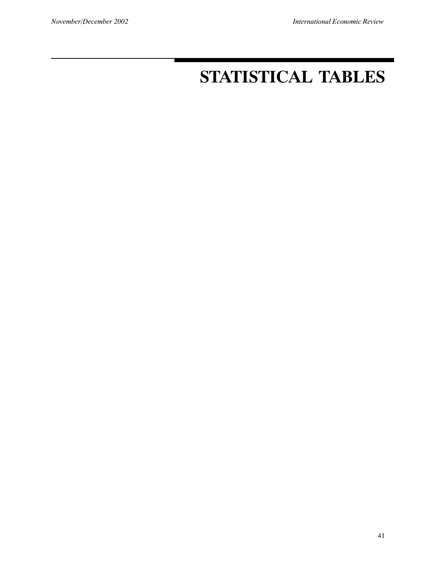# **STATISTICAL TABLES**